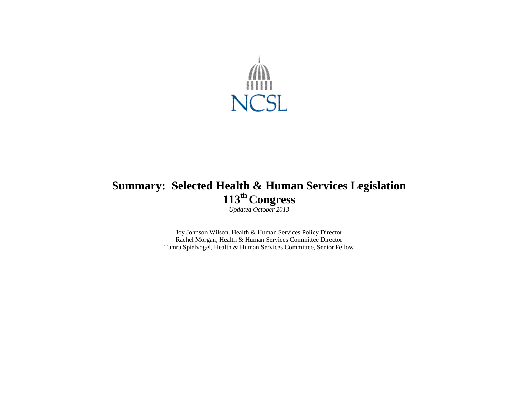

# **Summary: Selected Health & Human Services Legislation 113 th Congress**

*Updated October 2013*

Joy Johnson Wilson, Health & Human Services Policy Director Rachel Morgan, Health & Human Services Committee Director Tamra Spielvogel, Health & Human Services Committee, Senior Fellow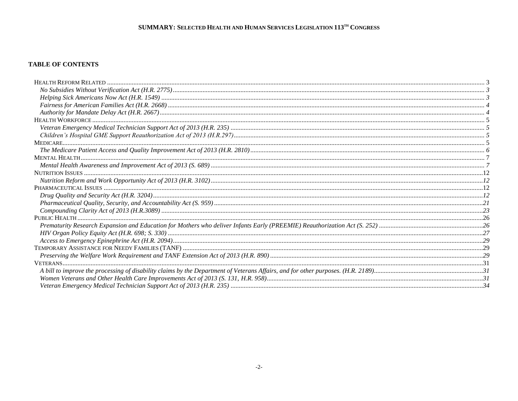#### **TABLE OF CONTENTS**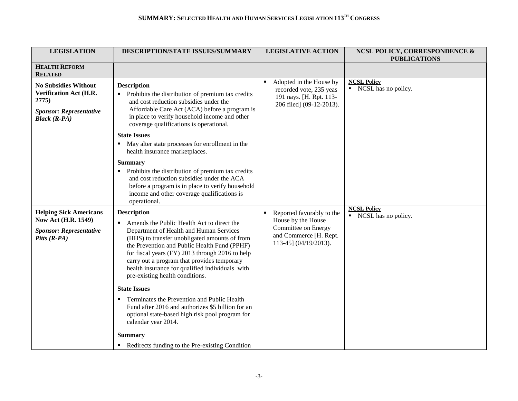| <b>LEGISLATION</b>                                                                                                                   | DESCRIPTION/STATE ISSUES/SUMMARY                                                                                                                                                                                                                                                                                                                                                                                                                                                                                                                       | <b>LEGISLATIVE ACTION</b>                                                                                                      | <b>NCSL POLICY, CORRESPONDENCE &amp;</b><br><b>PUBLICATIONS</b>    |
|--------------------------------------------------------------------------------------------------------------------------------------|--------------------------------------------------------------------------------------------------------------------------------------------------------------------------------------------------------------------------------------------------------------------------------------------------------------------------------------------------------------------------------------------------------------------------------------------------------------------------------------------------------------------------------------------------------|--------------------------------------------------------------------------------------------------------------------------------|--------------------------------------------------------------------|
| <b>HEALTH REFORM</b><br><b>RELATED</b>                                                                                               |                                                                                                                                                                                                                                                                                                                                                                                                                                                                                                                                                        |                                                                                                                                |                                                                    |
| <b>No Subsidies Without</b><br><b>Verification Act (H.R.</b><br>2775)<br><b>Sponsor: Representative</b><br><b>Black</b> $(R$ - $PA)$ | <b>Description</b><br>Prohibits the distribution of premium tax credits<br>and cost reduction subsidies under the<br>Affordable Care Act (ACA) before a program is<br>in place to verify household income and other<br>coverage qualifications is operational.                                                                                                                                                                                                                                                                                         | Adopted in the House by<br>recorded vote, 235 yeas-<br>191 nays. [H. Rpt. 113-<br>206 filed] (09-12-2013).                     | <b>NCSL Policy</b><br>• NCSL has no policy.                        |
|                                                                                                                                      | <b>State Issues</b><br>May alter state processes for enrollment in the<br>health insurance marketplaces.                                                                                                                                                                                                                                                                                                                                                                                                                                               |                                                                                                                                |                                                                    |
|                                                                                                                                      | <b>Summary</b><br>Prohibits the distribution of premium tax credits<br>and cost reduction subsidies under the ACA<br>before a program is in place to verify household<br>income and other coverage qualifications is<br>operational.                                                                                                                                                                                                                                                                                                                   |                                                                                                                                |                                                                    |
| <b>Helping Sick Americans</b><br><b>Now Act (H.R. 1549)</b><br><b>Sponsor: Representative</b><br>Pitts $(R$ -PA)                     | <b>Description</b><br>Amends the Public Health Act to direct the<br>$\blacksquare$<br>Department of Health and Human Services<br>(HHS) to transfer unobligated amounts of from<br>the Prevention and Public Health Fund (PPHF)<br>for fiscal years (FY) 2013 through 2016 to help<br>carry out a program that provides temporary<br>health insurance for qualified individuals with<br>pre-existing health conditions.<br><b>State Issues</b><br>Terminates the Prevention and Public Health<br>٠<br>Fund after 2016 and authorizes \$5 billion for an | Reported favorably to the<br>٠<br>House by the House<br>Committee on Energy<br>and Commerce [H. Rept.<br>113-45] (04/19/2013). | <b>NCSL Policy</b><br>$\overline{\phantom{a}}$ NCSL has no policy. |
|                                                                                                                                      | optional state-based high risk pool program for<br>calendar year 2014.<br><b>Summary</b><br>Redirects funding to the Pre-existing Condition                                                                                                                                                                                                                                                                                                                                                                                                            |                                                                                                                                |                                                                    |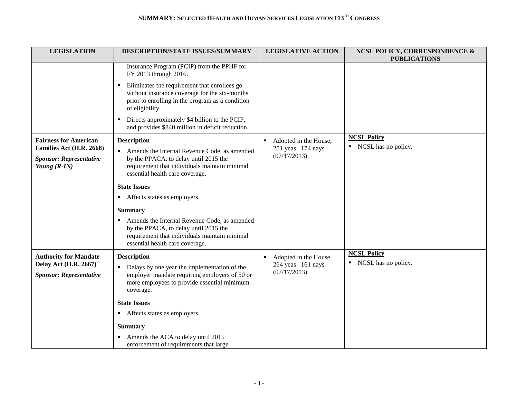| <b>LEGISLATION</b>                                                                                           | DESCRIPTION/STATE ISSUES/SUMMARY                                                                                                                                                                                  | <b>LEGISLATIVE ACTION</b>                                                     | <b>NCSL POLICY, CORRESPONDENCE &amp;</b><br><b>PUBLICATIONS</b> |
|--------------------------------------------------------------------------------------------------------------|-------------------------------------------------------------------------------------------------------------------------------------------------------------------------------------------------------------------|-------------------------------------------------------------------------------|-----------------------------------------------------------------|
|                                                                                                              | Insurance Program (PCIP) from the PPHF for<br>FY 2013 through 2016.                                                                                                                                               |                                                                               |                                                                 |
|                                                                                                              | Eliminates the requirement that enrollees go<br>without insurance coverage for the six-months<br>prior to enrolling in the program as a condition<br>of eligibility.                                              |                                                                               |                                                                 |
|                                                                                                              | Directs approximately \$4 billion to the PCIP,<br>and provides \$840 million in deficit reduction.                                                                                                                |                                                                               |                                                                 |
| <b>Fairness for American</b><br>Families Act (H.R. 2668)<br><b>Sponsor: Representative</b><br>Young $(R-IN)$ | <b>Description</b><br>Amends the Internal Revenue Code, as amended<br>$\blacksquare$<br>by the PPACA, to delay until 2015 the<br>requirement that individuals maintain minimal<br>essential health care coverage. | Adopted in the House,<br>٠.<br>251 yeas - 174 nays<br>(07/17/2013).           | <b>NCSL Policy</b><br>NCSL has no policy.<br>٠                  |
|                                                                                                              | <b>State Issues</b><br>• Affects states as employers.                                                                                                                                                             |                                                                               |                                                                 |
|                                                                                                              | <b>Summary</b><br>Amends the Internal Revenue Code, as amended<br>by the PPACA, to delay until 2015 the<br>requirement that individuals maintain minimal<br>essential health care coverage.                       |                                                                               |                                                                 |
| <b>Authority for Mandate</b><br><b>Delay Act (H.R. 2667)</b><br><b>Sponsor: Representative</b>               | <b>Description</b><br>• Delays by one year the implementation of the<br>employer mandate requiring employers of 50 or<br>more employees to provide essential minimum<br>coverage.                                 | Adopted in the House,<br>$\blacksquare$<br>264 yeas-161 nays<br>(07/17/2013). | <b>NCSL Policy</b><br>NCSL has no policy.<br>٠                  |
|                                                                                                              | <b>State Issues</b><br>Affects states as employers.<br><b>Summary</b><br>Amends the ACA to delay until 2015                                                                                                       |                                                                               |                                                                 |
|                                                                                                              | enforcement of requirements that large                                                                                                                                                                            |                                                                               |                                                                 |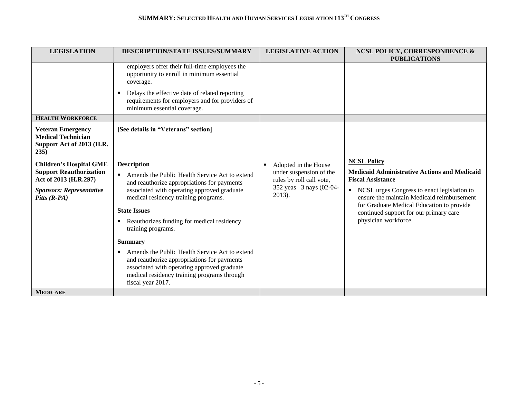| <b>LEGISLATION</b>                                                                                                                              | <b>DESCRIPTION/STATE ISSUES/SUMMARY</b>                                                                                                                                                                                                                                                                                                                                                                                                                                                                                                            | <b>LEGISLATIVE ACTION</b>                                                                                          | <b>NCSL POLICY, CORRESPONDENCE &amp;</b><br><b>PUBLICATIONS</b>                                                                                                                                                                                                                                                                     |
|-------------------------------------------------------------------------------------------------------------------------------------------------|----------------------------------------------------------------------------------------------------------------------------------------------------------------------------------------------------------------------------------------------------------------------------------------------------------------------------------------------------------------------------------------------------------------------------------------------------------------------------------------------------------------------------------------------------|--------------------------------------------------------------------------------------------------------------------|-------------------------------------------------------------------------------------------------------------------------------------------------------------------------------------------------------------------------------------------------------------------------------------------------------------------------------------|
|                                                                                                                                                 | employers offer their full-time employees the<br>opportunity to enroll in minimum essential<br>coverage.<br>Delays the effective date of related reporting<br>٠<br>requirements for employers and for providers of<br>minimum essential coverage.                                                                                                                                                                                                                                                                                                  |                                                                                                                    |                                                                                                                                                                                                                                                                                                                                     |
| <b>HEALTH WORKFORCE</b>                                                                                                                         |                                                                                                                                                                                                                                                                                                                                                                                                                                                                                                                                                    |                                                                                                                    |                                                                                                                                                                                                                                                                                                                                     |
| <b>Veteran Emergency</b><br><b>Medical Technician</b><br>Support Act of 2013 (H.R.<br>235)                                                      | [See details in "Veterans" section]                                                                                                                                                                                                                                                                                                                                                                                                                                                                                                                |                                                                                                                    |                                                                                                                                                                                                                                                                                                                                     |
| <b>Children's Hospital GME</b><br><b>Support Reauthorization</b><br>Act of 2013 (H.R.297)<br><b>Sponsors: Representative</b><br>Pitts $(R$ -PA) | <b>Description</b><br>• Amends the Public Health Service Act to extend<br>and reauthorize appropriations for payments<br>associated with operating approved graduate<br>medical residency training programs.<br><b>State Issues</b><br>Reauthorizes funding for medical residency<br>٠<br>training programs.<br><b>Summary</b><br>Amends the Public Health Service Act to extend<br>and reauthorize appropriations for payments<br>associated with operating approved graduate<br>medical residency training programs through<br>fiscal year 2017. | Adopted in the House<br>under suspension of the<br>rules by roll call vote,<br>352 yeas - 3 nays (02-04-<br>2013). | <b>NCSL Policy</b><br><b>Medicaid Administrative Actions and Medicaid</b><br><b>Fiscal Assistance</b><br>NCSL urges Congress to enact legislation to<br>$\blacksquare$<br>ensure the maintain Medicaid reimbursement<br>for Graduate Medical Education to provide<br>continued support for our primary care<br>physician workforce. |
| <b>MEDICARE</b>                                                                                                                                 |                                                                                                                                                                                                                                                                                                                                                                                                                                                                                                                                                    |                                                                                                                    |                                                                                                                                                                                                                                                                                                                                     |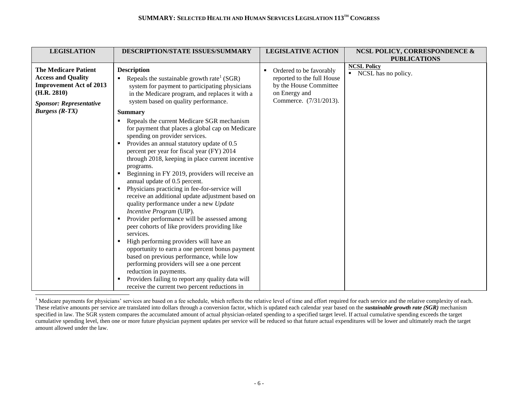| <b>LEGISLATION</b>                                                                                                                                                     | DESCRIPTION/STATE ISSUES/SUMMARY                                                                                                                                                                                                                                                                                                                                                                                                                                                                                                                                                                                                                                                                                                                                                                                           | <b>LEGISLATIVE ACTION</b>                                                                                                       | <b>NCSL POLICY, CORRESPONDENCE &amp;</b>                         |
|------------------------------------------------------------------------------------------------------------------------------------------------------------------------|----------------------------------------------------------------------------------------------------------------------------------------------------------------------------------------------------------------------------------------------------------------------------------------------------------------------------------------------------------------------------------------------------------------------------------------------------------------------------------------------------------------------------------------------------------------------------------------------------------------------------------------------------------------------------------------------------------------------------------------------------------------------------------------------------------------------------|---------------------------------------------------------------------------------------------------------------------------------|------------------------------------------------------------------|
|                                                                                                                                                                        |                                                                                                                                                                                                                                                                                                                                                                                                                                                                                                                                                                                                                                                                                                                                                                                                                            |                                                                                                                                 |                                                                  |
| <b>The Medicare Patient</b><br><b>Access and Quality</b><br><b>Improvement Act of 2013</b><br>(H.R. 2810)<br><b>Sponsor: Representative</b><br><i>Burgess</i> $(R-TX)$ | <b>Description</b><br>Repeals the sustainable growth rate <sup>1</sup> (SGR)<br>system for payment to participating physicians<br>in the Medicare program, and replaces it with a<br>system based on quality performance.<br><b>Summary</b><br>Repeals the current Medicare SGR mechanism<br>٠<br>for payment that places a global cap on Medicare<br>spending on provider services.<br>Provides an annual statutory update of 0.5<br>٠<br>percent per year for fiscal year (FY) 2014<br>through 2018, keeping in place current incentive<br>programs.<br>Beginning in FY 2019, providers will receive an<br>annual update of 0.5 percent.<br>Physicians practicing in fee-for-service will<br>٠<br>receive an additional update adjustment based on<br>quality performance under a new Update<br>Incentive Program (UIP). | Ordered to be favorably<br>٠<br>reported to the full House<br>by the House Committee<br>on Energy and<br>Commerce. (7/31/2013). | <b>PUBLICATIONS</b><br><b>NCSL Policy</b><br>NCSL has no policy. |
|                                                                                                                                                                        | Provider performance will be assessed among<br>peer cohorts of like providers providing like<br>services.<br>High performing providers will have an<br>opportunity to earn a one percent bonus payment<br>based on previous performance, while low<br>performing providers will see a one percent<br>reduction in payments.<br>Providers failing to report any quality data will<br>$\blacksquare$<br>receive the current two percent reductions in                                                                                                                                                                                                                                                                                                                                                                        |                                                                                                                                 |                                                                  |

l <sup>1</sup> Medicare payments for physicians' services are based on a fee schedule, which reflects the relative level of time and effort required for each service and the relative complexity of each. These relative amounts per service are translated into dollars through a conversion factor, which is updated each calendar year based on the *sustainable growth rate (SGR)* mechanism specified in law. The SGR system compares the accumulated amount of actual physician-related spending to a specified target level. If actual cumulative spending exceeds the target cumulative spending level, then one or more future physician payment updates per service will be reduced so that future actual expenditures will be lower and ultimately reach the target amount allowed under the law.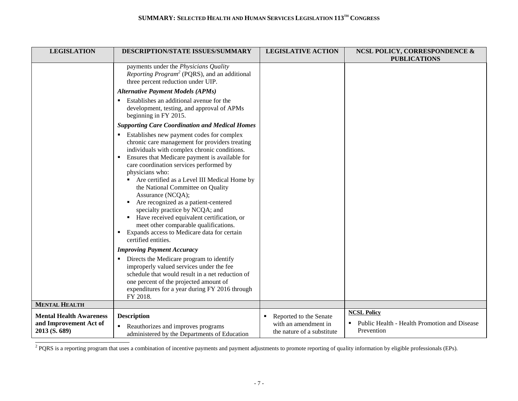| <b>LEGISLATION</b>                                                        | <b>DESCRIPTION/STATE ISSUES/SUMMARY</b>                                                                                                                                                                                                                                                                                                                                                                                                                                                                                                                                                                                  | <b>LEGISLATIVE ACTION</b>                                                         | <b>NCSL POLICY, CORRESPONDENCE &amp;</b><br><b>PUBLICATIONS</b>                       |
|---------------------------------------------------------------------------|--------------------------------------------------------------------------------------------------------------------------------------------------------------------------------------------------------------------------------------------------------------------------------------------------------------------------------------------------------------------------------------------------------------------------------------------------------------------------------------------------------------------------------------------------------------------------------------------------------------------------|-----------------------------------------------------------------------------------|---------------------------------------------------------------------------------------|
|                                                                           | payments under the Physicians Quality<br>Reporting Program <sup>2</sup> (PQRS), and an additional<br>three percent reduction under UIP.                                                                                                                                                                                                                                                                                                                                                                                                                                                                                  |                                                                                   |                                                                                       |
|                                                                           | <b>Alternative Payment Models (APMs)</b>                                                                                                                                                                                                                                                                                                                                                                                                                                                                                                                                                                                 |                                                                                   |                                                                                       |
|                                                                           | Establishes an additional avenue for the<br>development, testing, and approval of APMs<br>beginning in FY 2015.                                                                                                                                                                                                                                                                                                                                                                                                                                                                                                          |                                                                                   |                                                                                       |
|                                                                           | <b>Supporting Care Coordination and Medical Homes</b>                                                                                                                                                                                                                                                                                                                                                                                                                                                                                                                                                                    |                                                                                   |                                                                                       |
|                                                                           | Establishes new payment codes for complex<br>chronic care management for providers treating<br>individuals with complex chronic conditions.<br>Ensures that Medicare payment is available for<br>٠.<br>care coordination services performed by<br>physicians who:<br>Are certified as a Level III Medical Home by<br>the National Committee on Quality<br>Assurance (NCQA);<br>Are recognized as a patient-centered<br>specialty practice by NCQA; and<br>Have received equivalent certification, or<br>meet other comparable qualifications.<br>Expands access to Medicare data for certain<br>٠<br>certified entities. |                                                                                   |                                                                                       |
|                                                                           | <b>Improving Payment Accuracy</b>                                                                                                                                                                                                                                                                                                                                                                                                                                                                                                                                                                                        |                                                                                   |                                                                                       |
|                                                                           | Directs the Medicare program to identify<br>٠.<br>improperly valued services under the fee<br>schedule that would result in a net reduction of<br>one percent of the projected amount of<br>expenditures for a year during FY 2016 through<br>FY 2018.                                                                                                                                                                                                                                                                                                                                                                   |                                                                                   |                                                                                       |
| <b>MENTAL HEALTH</b>                                                      |                                                                                                                                                                                                                                                                                                                                                                                                                                                                                                                                                                                                                          |                                                                                   |                                                                                       |
| <b>Mental Health Awareness</b><br>and Improvement Act of<br>2013 (S. 689) | <b>Description</b><br>Reauthorizes and improves programs<br>٠<br>administered by the Departments of Education                                                                                                                                                                                                                                                                                                                                                                                                                                                                                                            | Reported to the Senate<br>٠<br>with an amendment in<br>the nature of a substitute | <b>NCSL Policy</b><br>Public Health - Health Promotion and Disease<br>٠<br>Prevention |

<sup>2</sup> PQRS is a reporting program that uses a combination of incentive payments and payment adjustments to promote reporting of quality information by eligible professionals (EPs).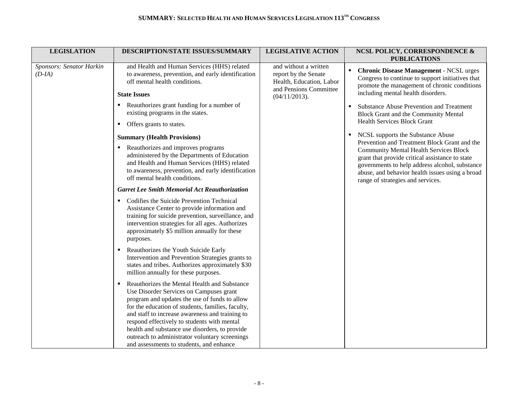| <b>LEGISLATION</b>                   | DESCRIPTION/STATE ISSUES/SUMMARY                                                                                                                                                                                                                                                                                                                                                                                                                                  | <b>LEGISLATIVE ACTION</b>                                                                           | <b>NCSL POLICY, CORRESPONDENCE &amp;</b><br><b>PUBLICATIONS</b>                                                                                                                                                                            |
|--------------------------------------|-------------------------------------------------------------------------------------------------------------------------------------------------------------------------------------------------------------------------------------------------------------------------------------------------------------------------------------------------------------------------------------------------------------------------------------------------------------------|-----------------------------------------------------------------------------------------------------|--------------------------------------------------------------------------------------------------------------------------------------------------------------------------------------------------------------------------------------------|
| Sponsors: Senator Harkin<br>$(D-IA)$ | and Health and Human Services (HHS) related<br>to awareness, prevention, and early identification<br>off mental health conditions.<br><b>State Issues</b>                                                                                                                                                                                                                                                                                                         | and without a written<br>report by the Senate<br>Health, Education, Labor<br>and Pensions Committee | <b>Chronic Disease Management - NCSL urges</b><br>$\blacksquare$<br>Congress to continue to support initiatives that<br>promote the management of chronic conditions<br>including mental health disorders.                                 |
|                                      |                                                                                                                                                                                                                                                                                                                                                                                                                                                                   | (04/11/2013).                                                                                       |                                                                                                                                                                                                                                            |
|                                      | Reauthorizes grant funding for a number of<br>existing programs in the states.                                                                                                                                                                                                                                                                                                                                                                                    |                                                                                                     | Substance Abuse Prevention and Treatment<br><b>Block Grant and the Community Mental</b>                                                                                                                                                    |
|                                      | Offers grants to states.<br>$\blacksquare$                                                                                                                                                                                                                                                                                                                                                                                                                        |                                                                                                     | <b>Health Services Block Grant</b>                                                                                                                                                                                                         |
|                                      | <b>Summary (Health Provisions)</b>                                                                                                                                                                                                                                                                                                                                                                                                                                |                                                                                                     | NCSL supports the Substance Abuse<br>Prevention and Treatment Block Grant and the                                                                                                                                                          |
|                                      | Reauthorizes and improves programs<br>administered by the Departments of Education<br>and Health and Human Services (HHS) related<br>to awareness, prevention, and early identification<br>off mental health conditions.                                                                                                                                                                                                                                          |                                                                                                     | <b>Community Mental Health Services Block</b><br>grant that provide critical assistance to state<br>governments to help address alcohol, substance<br>abuse, and behavior health issues using a broad<br>range of strategies and services. |
|                                      | <b>Garret Lee Smith Memorial Act Reauthorization</b>                                                                                                                                                                                                                                                                                                                                                                                                              |                                                                                                     |                                                                                                                                                                                                                                            |
|                                      | Codifies the Suicide Prevention Technical<br>п.<br>Assistance Center to provide information and<br>training for suicide prevention, surveillance, and<br>intervention strategies for all ages. Authorizes<br>approximately \$5 million annually for these<br>purposes.                                                                                                                                                                                            |                                                                                                     |                                                                                                                                                                                                                                            |
|                                      | Reauthorizes the Youth Suicide Early<br>Intervention and Prevention Strategies grants to<br>states and tribes. Authorizes approximately \$30<br>million annually for these purposes.                                                                                                                                                                                                                                                                              |                                                                                                     |                                                                                                                                                                                                                                            |
|                                      | Reauthorizes the Mental Health and Substance<br>$\blacksquare$<br>Use Disorder Services on Campuses grant<br>program and updates the use of funds to allow<br>for the education of students, families, faculty,<br>and staff to increase awareness and training to<br>respond effectively to students with mental<br>health and substance use disorders, to provide<br>outreach to administrator voluntary screenings<br>and assessments to students, and enhance |                                                                                                     |                                                                                                                                                                                                                                            |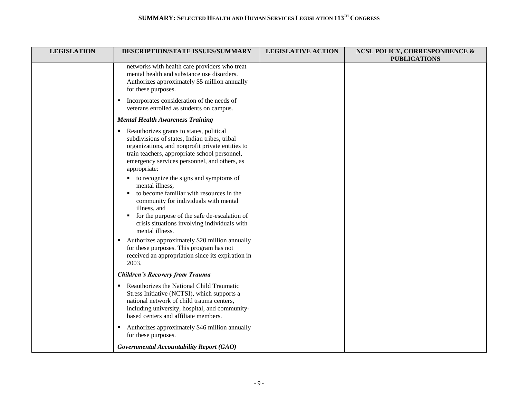| <b>LEGISLATION</b> | DESCRIPTION/STATE ISSUES/SUMMARY                                                                                                                                                                                                                                                                                                                                                                                                                                                                                                                                                                             | <b>LEGISLATIVE ACTION</b> | <b>NCSL POLICY, CORRESPONDENCE &amp;</b><br><b>PUBLICATIONS</b> |
|--------------------|--------------------------------------------------------------------------------------------------------------------------------------------------------------------------------------------------------------------------------------------------------------------------------------------------------------------------------------------------------------------------------------------------------------------------------------------------------------------------------------------------------------------------------------------------------------------------------------------------------------|---------------------------|-----------------------------------------------------------------|
|                    | networks with health care providers who treat<br>mental health and substance use disorders.<br>Authorizes approximately \$5 million annually<br>for these purposes.                                                                                                                                                                                                                                                                                                                                                                                                                                          |                           |                                                                 |
|                    | Incorporates consideration of the needs of<br>٠<br>veterans enrolled as students on campus.                                                                                                                                                                                                                                                                                                                                                                                                                                                                                                                  |                           |                                                                 |
|                    | <b>Mental Health Awareness Training</b>                                                                                                                                                                                                                                                                                                                                                                                                                                                                                                                                                                      |                           |                                                                 |
|                    | Reauthorizes grants to states, political<br>٠<br>subdivisions of states, Indian tribes, tribal<br>organizations, and nonprofit private entities to<br>train teachers, appropriate school personnel,<br>emergency services personnel, and others, as<br>appropriate:<br>to recognize the signs and symptoms of<br>mental illness,<br>to become familiar with resources in the<br>community for individuals with mental<br>illness, and<br>for the purpose of the safe de-escalation of<br>crisis situations involving individuals with<br>mental illness.<br>• Authorizes approximately \$20 million annually |                           |                                                                 |
|                    | for these purposes. This program has not<br>received an appropriation since its expiration in<br>2003.                                                                                                                                                                                                                                                                                                                                                                                                                                                                                                       |                           |                                                                 |
|                    | <b>Children's Recovery from Trauma</b>                                                                                                                                                                                                                                                                                                                                                                                                                                                                                                                                                                       |                           |                                                                 |
|                    | Reauthorizes the National Child Traumatic<br>٠<br>Stress Initiative (NCTSI), which supports a<br>national network of child trauma centers,<br>including university, hospital, and community-<br>based centers and affiliate members.                                                                                                                                                                                                                                                                                                                                                                         |                           |                                                                 |
|                    | Authorizes approximately \$46 million annually<br>٠<br>for these purposes.                                                                                                                                                                                                                                                                                                                                                                                                                                                                                                                                   |                           |                                                                 |
|                    | Governmental Accountability Report (GAO)                                                                                                                                                                                                                                                                                                                                                                                                                                                                                                                                                                     |                           |                                                                 |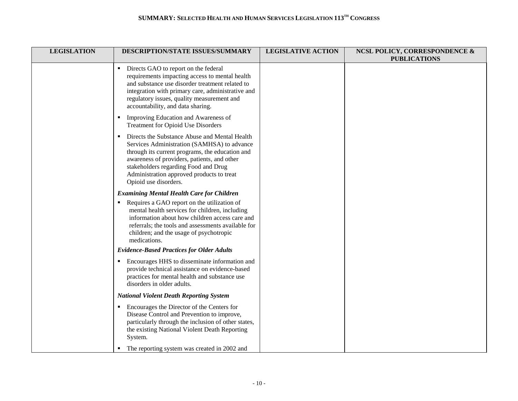| <b>LEGISLATION</b> | DESCRIPTION/STATE ISSUES/SUMMARY                                                                                                                                                                                                                                                                                               | <b>LEGISLATIVE ACTION</b> | <b>NCSL POLICY, CORRESPONDENCE &amp;</b><br><b>PUBLICATIONS</b> |
|--------------------|--------------------------------------------------------------------------------------------------------------------------------------------------------------------------------------------------------------------------------------------------------------------------------------------------------------------------------|---------------------------|-----------------------------------------------------------------|
|                    | Directs GAO to report on the federal<br>$\blacksquare$<br>requirements impacting access to mental health<br>and substance use disorder treatment related to<br>integration with primary care, administrative and<br>regulatory issues, quality measurement and<br>accountability, and data sharing.                            |                           |                                                                 |
|                    | Improving Education and Awareness of<br>٠<br>Treatment for Opioid Use Disorders                                                                                                                                                                                                                                                |                           |                                                                 |
|                    | Directs the Substance Abuse and Mental Health<br>$\blacksquare$<br>Services Administration (SAMHSA) to advance<br>through its current programs, the education and<br>awareness of providers, patients, and other<br>stakeholders regarding Food and Drug<br>Administration approved products to treat<br>Opioid use disorders. |                           |                                                                 |
|                    | <b>Examining Mental Health Care for Children</b>                                                                                                                                                                                                                                                                               |                           |                                                                 |
|                    | Requires a GAO report on the utilization of<br>mental health services for children, including<br>information about how children access care and<br>referrals; the tools and assessments available for<br>children; and the usage of psychotropic<br>medications.                                                               |                           |                                                                 |
|                    | <b>Evidence-Based Practices for Older Adults</b>                                                                                                                                                                                                                                                                               |                           |                                                                 |
|                    | Encourages HHS to disseminate information and<br>provide technical assistance on evidence-based<br>practices for mental health and substance use<br>disorders in older adults.                                                                                                                                                 |                           |                                                                 |
|                    | <b>National Violent Death Reporting System</b>                                                                                                                                                                                                                                                                                 |                           |                                                                 |
|                    | Encourages the Director of the Centers for<br>Disease Control and Prevention to improve,<br>particularly through the inclusion of other states,<br>the existing National Violent Death Reporting<br>System.                                                                                                                    |                           |                                                                 |
|                    | The reporting system was created in 2002 and                                                                                                                                                                                                                                                                                   |                           |                                                                 |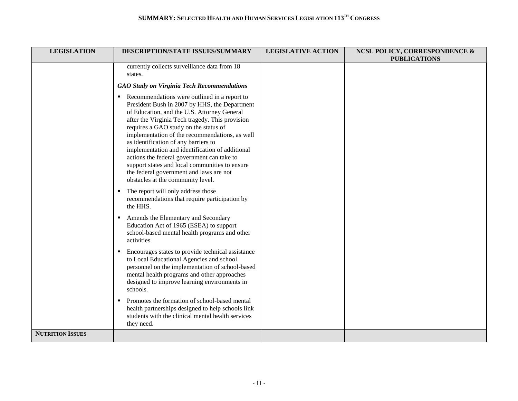| <b>LEGISLATION</b>      | DESCRIPTION/STATE ISSUES/SUMMARY                                                                                                                                                                                                                                                                                                                                                                                                                                                                                                                                      | <b>LEGISLATIVE ACTION</b> | <b>NCSL POLICY, CORRESPONDENCE &amp;</b><br><b>PUBLICATIONS</b> |
|-------------------------|-----------------------------------------------------------------------------------------------------------------------------------------------------------------------------------------------------------------------------------------------------------------------------------------------------------------------------------------------------------------------------------------------------------------------------------------------------------------------------------------------------------------------------------------------------------------------|---------------------------|-----------------------------------------------------------------|
|                         | currently collects surveillance data from 18<br>states.                                                                                                                                                                                                                                                                                                                                                                                                                                                                                                               |                           |                                                                 |
|                         | <b>GAO Study on Virginia Tech Recommendations</b>                                                                                                                                                                                                                                                                                                                                                                                                                                                                                                                     |                           |                                                                 |
|                         | Recommendations were outlined in a report to<br>President Bush in 2007 by HHS, the Department<br>of Education, and the U.S. Attorney General<br>after the Virginia Tech tragedy. This provision<br>requires a GAO study on the status of<br>implementation of the recommendations, as well<br>as identification of any barriers to<br>implementation and identification of additional<br>actions the federal government can take to<br>support states and local communities to ensure<br>the federal government and laws are not<br>obstacles at the community level. |                           |                                                                 |
|                         | • The report will only address those<br>recommendations that require participation by<br>the HHS.                                                                                                                                                                                                                                                                                                                                                                                                                                                                     |                           |                                                                 |
|                         | Amends the Elementary and Secondary<br>Education Act of 1965 (ESEA) to support<br>school-based mental health programs and other<br>activities                                                                                                                                                                                                                                                                                                                                                                                                                         |                           |                                                                 |
|                         | Encourages states to provide technical assistance<br>to Local Educational Agencies and school<br>personnel on the implementation of school-based<br>mental health programs and other approaches<br>designed to improve learning environments in<br>schools.                                                                                                                                                                                                                                                                                                           |                           |                                                                 |
|                         | Promotes the formation of school-based mental<br>$\blacksquare$<br>health partnerships designed to help schools link<br>students with the clinical mental health services<br>they need.                                                                                                                                                                                                                                                                                                                                                                               |                           |                                                                 |
| <b>NUTRITION ISSUES</b> |                                                                                                                                                                                                                                                                                                                                                                                                                                                                                                                                                                       |                           |                                                                 |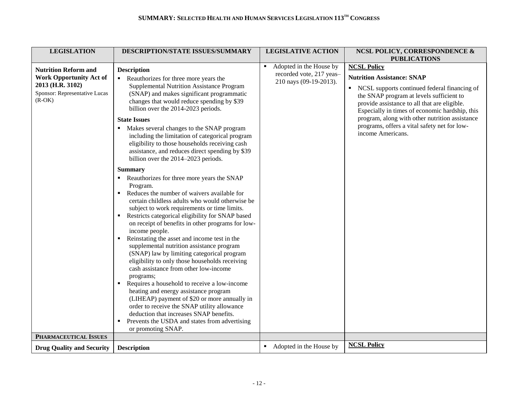| <b>LEGISLATION</b>               | DESCRIPTION/STATE ISSUES/SUMMARY                              | <b>LEGISLATIVE ACTION</b>                 | <b>NCSL POLICY, CORRESPONDENCE &amp;</b>       |
|----------------------------------|---------------------------------------------------------------|-------------------------------------------|------------------------------------------------|
|                                  |                                                               |                                           | <b>PUBLICATIONS</b>                            |
| <b>Nutrition Reform and</b>      | <b>Description</b>                                            | Adopted in the House by<br>$\blacksquare$ | <b>NCSL Policy</b>                             |
| <b>Work Opportunity Act of</b>   | • Reauthorizes for three more years the                       | recorded vote, 217 yeas-                  | <b>Nutrition Assistance: SNAP</b>              |
| 2013 (H.R. 3102)                 | Supplemental Nutrition Assistance Program                     | 210 nays (09-19-2013).                    |                                                |
| Sponsor: Representative Lucas    |                                                               |                                           | • NCSL supports continued federal financing of |
| $(R-OK)$                         | (SNAP) and makes significant programmatic                     |                                           | the SNAP program at levels sufficient to       |
|                                  | changes that would reduce spending by \$39                    |                                           | provide assistance to all that are eligible.   |
|                                  | billion over the 2014-2023 periods.                           |                                           | Especially in times of economic hardship, this |
|                                  | <b>State Issues</b>                                           |                                           | program, along with other nutrition assistance |
|                                  | Makes several changes to the SNAP program                     |                                           | programs, offers a vital safety net for low-   |
|                                  | including the limitation of categorical program               |                                           | income Americans.                              |
|                                  | eligibility to those households receiving cash                |                                           |                                                |
|                                  | assistance, and reduces direct spending by \$39               |                                           |                                                |
|                                  | billion over the 2014-2023 periods.                           |                                           |                                                |
|                                  |                                                               |                                           |                                                |
|                                  | <b>Summary</b>                                                |                                           |                                                |
|                                  | Reauthorizes for three more years the SNAP                    |                                           |                                                |
|                                  | Program.                                                      |                                           |                                                |
|                                  | Reduces the number of waivers available for<br>$\blacksquare$ |                                           |                                                |
|                                  | certain childless adults who would otherwise be               |                                           |                                                |
|                                  | subject to work requirements or time limits.                  |                                           |                                                |
|                                  | Restricts categorical eligibility for SNAP based<br>٠         |                                           |                                                |
|                                  | on receipt of benefits in other programs for low-             |                                           |                                                |
|                                  | income people.                                                |                                           |                                                |
|                                  | Reinstating the asset and income test in the                  |                                           |                                                |
|                                  | supplemental nutrition assistance program                     |                                           |                                                |
|                                  | (SNAP) law by limiting categorical program                    |                                           |                                                |
|                                  | eligibility to only those households receiving                |                                           |                                                |
|                                  | cash assistance from other low-income                         |                                           |                                                |
|                                  | programs;                                                     |                                           |                                                |
|                                  | Requires a household to receive a low-income                  |                                           |                                                |
|                                  | heating and energy assistance program                         |                                           |                                                |
|                                  | (LIHEAP) payment of \$20 or more annually in                  |                                           |                                                |
|                                  | order to receive the SNAP utility allowance                   |                                           |                                                |
|                                  | deduction that increases SNAP benefits.                       |                                           |                                                |
|                                  | Prevents the USDA and states from advertising                 |                                           |                                                |
|                                  | or promoting SNAP.                                            |                                           |                                                |
| PHARMACEUTICAL ISSUES            |                                                               |                                           |                                                |
| <b>Drug Quality and Security</b> | <b>Description</b>                                            | • Adopted in the House by                 | <b>NCSL Policy</b>                             |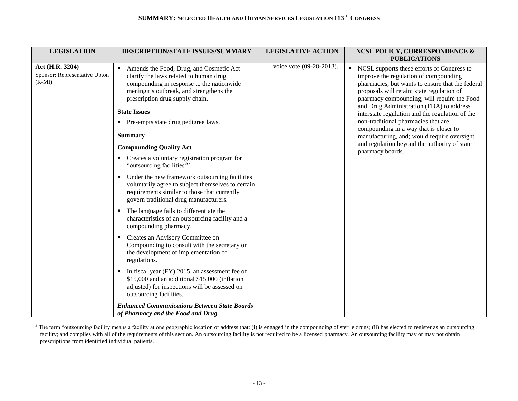| <b>LEGISLATION</b>                                           | DESCRIPTION/STATE ISSUES/SUMMARY                                                                                                                                                                                                                                                                                                                                                                                                                                                                                                                                                                                                                                                                                                                                                                                                                                                                                                                                                                                                                                                                                                         | <b>LEGISLATIVE ACTION</b> | <b>NCSL POLICY, CORRESPONDENCE &amp;</b><br><b>PUBLICATIONS</b>                                                                                                                                                                                                                                                                                                                                                                                                                                                                           |
|--------------------------------------------------------------|------------------------------------------------------------------------------------------------------------------------------------------------------------------------------------------------------------------------------------------------------------------------------------------------------------------------------------------------------------------------------------------------------------------------------------------------------------------------------------------------------------------------------------------------------------------------------------------------------------------------------------------------------------------------------------------------------------------------------------------------------------------------------------------------------------------------------------------------------------------------------------------------------------------------------------------------------------------------------------------------------------------------------------------------------------------------------------------------------------------------------------------|---------------------------|-------------------------------------------------------------------------------------------------------------------------------------------------------------------------------------------------------------------------------------------------------------------------------------------------------------------------------------------------------------------------------------------------------------------------------------------------------------------------------------------------------------------------------------------|
| Act (H.R. 3204)<br>Sponsor: Representative Upton<br>$(R-MI)$ | Amends the Food, Drug, and Cosmetic Act<br>clarify the laws related to human drug<br>compounding in response to the nationwide<br>meningitis outbreak, and strengthens the<br>prescription drug supply chain.<br><b>State Issues</b><br>• Pre-empts state drug pedigree laws.<br><b>Summary</b><br><b>Compounding Quality Act</b><br>Creates a voluntary registration program for<br>"outsourcing facilities <sup>3</sup> "<br>Under the new framework outsourcing facilities<br>voluntarily agree to subject themselves to certain<br>requirements similar to those that currently<br>govern traditional drug manufacturers.<br>The language fails to differentiate the<br>characteristics of an outsourcing facility and a<br>compounding pharmacy.<br>Creates an Advisory Committee on<br>Compounding to consult with the secretary on<br>the development of implementation of<br>regulations.<br>In fiscal year (FY) 2015, an assessment fee of<br>\$15,000 and an additional \$15,000 (inflation<br>adjusted) for inspections will be assessed on<br>outsourcing facilities.<br><b>Enhanced Communications Between State Boards</b> | voice vote (09-28-2013).  | • NCSL supports these efforts of Congress to<br>improve the regulation of compounding<br>pharmacies, but wants to ensure that the federal<br>proposals will retain: state regulation of<br>pharmacy compounding; will require the Food<br>and Drug Administration (FDA) to address<br>interstate regulation and the regulation of the<br>non-traditional pharmacies that are<br>compounding in a way that is closer to<br>manufacturing, and; would require oversight<br>and regulation beyond the authority of state<br>pharmacy boards. |
|                                                              | of Pharmacy and the Food and Drug                                                                                                                                                                                                                                                                                                                                                                                                                                                                                                                                                                                                                                                                                                                                                                                                                                                                                                                                                                                                                                                                                                        |                           |                                                                                                                                                                                                                                                                                                                                                                                                                                                                                                                                           |

 $3$  The term "outsourcing facility means a facility at one geographic location or address that: (i) is engaged in the compounding of sterile drugs; (ii) has elected to register as an outsourcing facility; and complies with all of the requirements of this section. An outsourcing facility is not required to be a licensed pharmacy. An outsourcing facility may or may not obtain prescriptions from identified individual patients.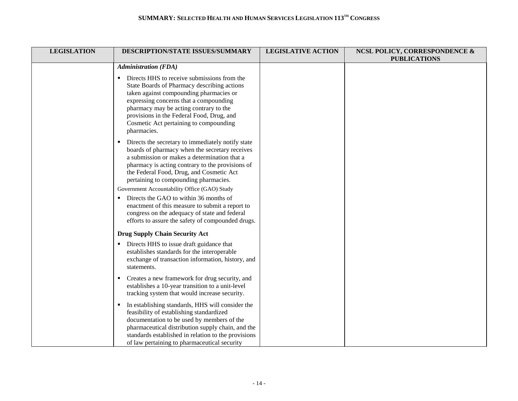| <b>LEGISLATION</b> | DESCRIPTION/STATE ISSUES/SUMMARY                                                                                                                                                                                                                                                                                                                                                                                                                                                                                                                     | <b>LEGISLATIVE ACTION</b> | <b>NCSL POLICY, CORRESPONDENCE &amp;</b><br><b>PUBLICATIONS</b> |
|--------------------|------------------------------------------------------------------------------------------------------------------------------------------------------------------------------------------------------------------------------------------------------------------------------------------------------------------------------------------------------------------------------------------------------------------------------------------------------------------------------------------------------------------------------------------------------|---------------------------|-----------------------------------------------------------------|
|                    | <b>Administration (FDA)</b>                                                                                                                                                                                                                                                                                                                                                                                                                                                                                                                          |                           |                                                                 |
|                    | Directs HHS to receive submissions from the<br>State Boards of Pharmacy describing actions<br>taken against compounding pharmacies or<br>expressing concerns that a compounding<br>pharmacy may be acting contrary to the<br>provisions in the Federal Food, Drug, and<br>Cosmetic Act pertaining to compounding<br>pharmacies.                                                                                                                                                                                                                      |                           |                                                                 |
|                    | Directs the secretary to immediately notify state<br>٠<br>boards of pharmacy when the secretary receives<br>a submission or makes a determination that a<br>pharmacy is acting contrary to the provisions of<br>the Federal Food, Drug, and Cosmetic Act<br>pertaining to compounding pharmacies.<br>Government Accountability Office (GAO) Study<br>Directs the GAO to within 36 months of<br>enactment of this measure to submit a report to<br>congress on the adequacy of state and federal<br>efforts to assure the safety of compounded drugs. |                           |                                                                 |
|                    | <b>Drug Supply Chain Security Act</b>                                                                                                                                                                                                                                                                                                                                                                                                                                                                                                                |                           |                                                                 |
|                    | Directs HHS to issue draft guidance that<br>establishes standards for the interoperable<br>exchange of transaction information, history, and<br>statements.                                                                                                                                                                                                                                                                                                                                                                                          |                           |                                                                 |
|                    | Creates a new framework for drug security, and<br>п.<br>establishes a 10-year transition to a unit-level<br>tracking system that would increase security.                                                                                                                                                                                                                                                                                                                                                                                            |                           |                                                                 |
|                    | In establishing standards, HHS will consider the<br>feasibility of establishing standardized<br>documentation to be used by members of the<br>pharmaceutical distribution supply chain, and the<br>standards established in relation to the provisions<br>of law pertaining to pharmaceutical security                                                                                                                                                                                                                                               |                           |                                                                 |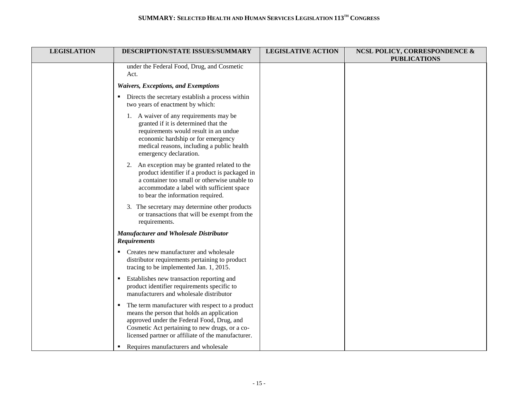| <b>LEGISLATION</b> | DESCRIPTION/STATE ISSUES/SUMMARY                                                                                                                                                                                                                    | <b>LEGISLATIVE ACTION</b> | <b>NCSL POLICY, CORRESPONDENCE &amp;</b><br><b>PUBLICATIONS</b> |
|--------------------|-----------------------------------------------------------------------------------------------------------------------------------------------------------------------------------------------------------------------------------------------------|---------------------------|-----------------------------------------------------------------|
|                    | under the Federal Food, Drug, and Cosmetic<br>Act.                                                                                                                                                                                                  |                           |                                                                 |
|                    | <b>Waivers, Exceptions, and Exemptions</b>                                                                                                                                                                                                          |                           |                                                                 |
|                    | Directs the secretary establish a process within<br>two years of enactment by which:                                                                                                                                                                |                           |                                                                 |
|                    | 1. A waiver of any requirements may be<br>granted if it is determined that the<br>requirements would result in an undue<br>economic hardship or for emergency<br>medical reasons, including a public health<br>emergency declaration.               |                           |                                                                 |
|                    | 2. An exception may be granted related to the<br>product identifier if a product is packaged in<br>a container too small or otherwise unable to<br>accommodate a label with sufficient space<br>to bear the information required.                   |                           |                                                                 |
|                    | 3. The secretary may determine other products<br>or transactions that will be exempt from the<br>requirements.                                                                                                                                      |                           |                                                                 |
|                    | Manufacturer and Wholesale Distributor<br><b>Requirements</b>                                                                                                                                                                                       |                           |                                                                 |
|                    | Creates new manufacturer and wholesale<br>distributor requirements pertaining to product<br>tracing to be implemented Jan. 1, 2015.                                                                                                                 |                           |                                                                 |
|                    | Establishes new transaction reporting and<br>product identifier requirements specific to<br>manufacturers and wholesale distributor                                                                                                                 |                           |                                                                 |
|                    | The term manufacturer with respect to a product<br>means the person that holds an application<br>approved under the Federal Food, Drug, and<br>Cosmetic Act pertaining to new drugs, or a co-<br>licensed partner or affiliate of the manufacturer. |                           |                                                                 |
|                    | Requires manufacturers and wholesale<br>п.                                                                                                                                                                                                          |                           |                                                                 |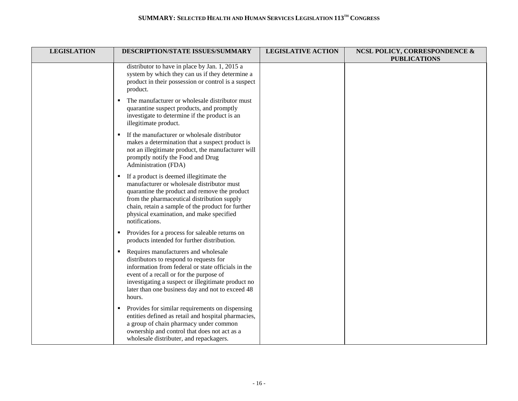| <b>LEGISLATION</b> | DESCRIPTION/STATE ISSUES/SUMMARY                                                                                                                                                                                                                                                                              | <b>LEGISLATIVE ACTION</b> | <b>NCSL POLICY, CORRESPONDENCE &amp;</b><br><b>PUBLICATIONS</b> |
|--------------------|---------------------------------------------------------------------------------------------------------------------------------------------------------------------------------------------------------------------------------------------------------------------------------------------------------------|---------------------------|-----------------------------------------------------------------|
|                    | distributor to have in place by Jan. 1, 2015 a<br>system by which they can us if they determine a<br>product in their possession or control is a suspect<br>product.                                                                                                                                          |                           |                                                                 |
|                    | The manufacturer or wholesale distributor must<br>$\blacksquare$<br>quarantine suspect products, and promptly<br>investigate to determine if the product is an<br>illegitimate product.                                                                                                                       |                           |                                                                 |
|                    | If the manufacturer or wholesale distributor<br>makes a determination that a suspect product is<br>not an illegitimate product, the manufacturer will<br>promptly notify the Food and Drug<br>Administration (FDA)                                                                                            |                           |                                                                 |
|                    | If a product is deemed illegitimate the<br>٠<br>manufacturer or wholesale distributor must<br>quarantine the product and remove the product<br>from the pharmaceutical distribution supply<br>chain, retain a sample of the product for further<br>physical examination, and make specified<br>notifications. |                           |                                                                 |
|                    | Provides for a process for saleable returns on<br>٠<br>products intended for further distribution.                                                                                                                                                                                                            |                           |                                                                 |
|                    | Requires manufacturers and wholesale<br>٠<br>distributors to respond to requests for<br>information from federal or state officials in the<br>event of a recall or for the purpose of<br>investigating a suspect or illegitimate product no<br>later than one business day and not to exceed 48<br>hours.     |                           |                                                                 |
|                    | Provides for similar requirements on dispensing<br>٠<br>entities defined as retail and hospital pharmacies,<br>a group of chain pharmacy under common<br>ownership and control that does not act as a<br>wholesale distributer, and repackagers.                                                              |                           |                                                                 |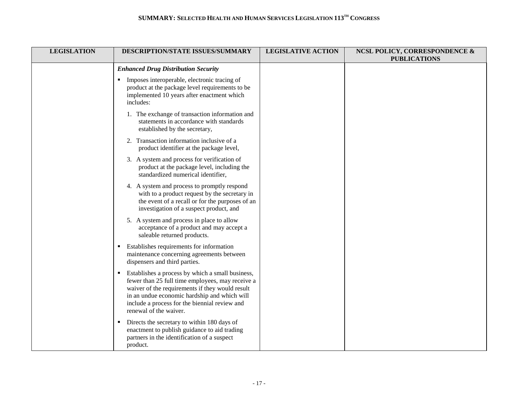| <b>LEGISLATION</b> | DESCRIPTION/STATE ISSUES/SUMMARY                                                                                                                                                                                                                                                                     | <b>LEGISLATIVE ACTION</b> | NCSL POLICY, CORRESPONDENCE &<br><b>PUBLICATIONS</b> |
|--------------------|------------------------------------------------------------------------------------------------------------------------------------------------------------------------------------------------------------------------------------------------------------------------------------------------------|---------------------------|------------------------------------------------------|
|                    | <b>Enhanced Drug Distribution Security</b>                                                                                                                                                                                                                                                           |                           |                                                      |
|                    | Imposes interoperable, electronic tracing of<br>٠<br>product at the package level requirements to be<br>implemented 10 years after enactment which<br>includes:                                                                                                                                      |                           |                                                      |
|                    | 1. The exchange of transaction information and<br>statements in accordance with standards<br>established by the secretary,                                                                                                                                                                           |                           |                                                      |
|                    | 2. Transaction information inclusive of a<br>product identifier at the package level,                                                                                                                                                                                                                |                           |                                                      |
|                    | 3. A system and process for verification of<br>product at the package level, including the<br>standardized numerical identifier,                                                                                                                                                                     |                           |                                                      |
|                    | 4. A system and process to promptly respond<br>with to a product request by the secretary in<br>the event of a recall or for the purposes of an<br>investigation of a suspect product, and                                                                                                           |                           |                                                      |
|                    | 5. A system and process in place to allow<br>acceptance of a product and may accept a<br>saleable returned products.                                                                                                                                                                                 |                           |                                                      |
|                    | Establishes requirements for information<br>٠<br>maintenance concerning agreements between<br>dispensers and third parties.                                                                                                                                                                          |                           |                                                      |
|                    | Establishes a process by which a small business,<br>$\blacksquare$<br>fewer than 25 full time employees, may receive a<br>waiver of the requirements if they would result<br>in an undue economic hardship and which will<br>include a process for the biennial review and<br>renewal of the waiver. |                           |                                                      |
|                    | Directs the secretary to within 180 days of<br>$\blacksquare$<br>enactment to publish guidance to aid trading<br>partners in the identification of a suspect<br>product.                                                                                                                             |                           |                                                      |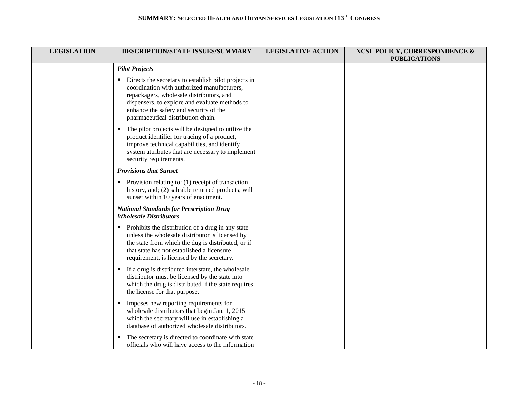| <b>LEGISLATION</b> | DESCRIPTION/STATE ISSUES/SUMMARY                                                                                                                                                                                                                                                  | <b>LEGISLATIVE ACTION</b> | <b>NCSL POLICY, CORRESPONDENCE &amp;</b><br><b>PUBLICATIONS</b> |
|--------------------|-----------------------------------------------------------------------------------------------------------------------------------------------------------------------------------------------------------------------------------------------------------------------------------|---------------------------|-----------------------------------------------------------------|
|                    | <b>Pilot Projects</b>                                                                                                                                                                                                                                                             |                           |                                                                 |
|                    | Directs the secretary to establish pilot projects in<br>coordination with authorized manufacturers,<br>repackagers, wholesale distributors, and<br>dispensers, to explore and evaluate methods to<br>enhance the safety and security of the<br>pharmaceutical distribution chain. |                           |                                                                 |
|                    | The pilot projects will be designed to utilize the<br>$\blacksquare$<br>product identifier for tracing of a product,<br>improve technical capabilities, and identify<br>system attributes that are necessary to implement<br>security requirements.                               |                           |                                                                 |
|                    | <b>Provisions that Sunset</b>                                                                                                                                                                                                                                                     |                           |                                                                 |
|                    | • Provision relating to: $(1)$ receipt of transaction<br>history, and; (2) saleable returned products; will<br>sunset within 10 years of enactment.                                                                                                                               |                           |                                                                 |
|                    | <b>National Standards for Prescription Drug</b><br><b>Wholesale Distributors</b>                                                                                                                                                                                                  |                           |                                                                 |
|                    | • Prohibits the distribution of a drug in any state<br>unless the wholesale distributor is licensed by<br>the state from which the dug is distributed, or if<br>that state has not established a licensure<br>requirement, is licensed by the secretary.                          |                           |                                                                 |
|                    | If a drug is distributed interstate, the wholesale<br>$\blacksquare$<br>distributor must be licensed by the state into<br>which the drug is distributed if the state requires<br>the license for that purpose.                                                                    |                           |                                                                 |
|                    | Imposes new reporting requirements for<br>٠<br>wholesale distributors that begin Jan. 1, 2015<br>which the secretary will use in establishing a<br>database of authorized wholesale distributors.                                                                                 |                           |                                                                 |
|                    | The secretary is directed to coordinate with state<br>officials who will have access to the information                                                                                                                                                                           |                           |                                                                 |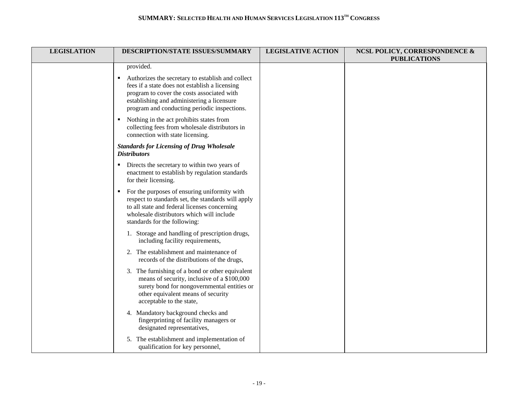| <b>LEGISLATION</b> | DESCRIPTION/STATE ISSUES/SUMMARY                                                                                                                                                                                                                     | <b>LEGISLATIVE ACTION</b> | <b>NCSL POLICY, CORRESPONDENCE &amp;</b><br><b>PUBLICATIONS</b> |
|--------------------|------------------------------------------------------------------------------------------------------------------------------------------------------------------------------------------------------------------------------------------------------|---------------------------|-----------------------------------------------------------------|
|                    | provided.                                                                                                                                                                                                                                            |                           |                                                                 |
|                    | Authorizes the secretary to establish and collect<br>٠<br>fees if a state does not establish a licensing<br>program to cover the costs associated with<br>establishing and administering a licensure<br>program and conducting periodic inspections. |                           |                                                                 |
|                    | Nothing in the act prohibits states from<br>collecting fees from wholesale distributors in<br>connection with state licensing.                                                                                                                       |                           |                                                                 |
|                    | <b>Standards for Licensing of Drug Wholesale</b><br><b>Distributors</b>                                                                                                                                                                              |                           |                                                                 |
|                    | Directs the secretary to within two years of<br>enactment to establish by regulation standards<br>for their licensing.                                                                                                                               |                           |                                                                 |
|                    | For the purposes of ensuring uniformity with<br>$\blacksquare$<br>respect to standards set, the standards will apply<br>to all state and federal licenses concerning<br>wholesale distributors which will include<br>standards for the following:    |                           |                                                                 |
|                    | 1. Storage and handling of prescription drugs,<br>including facility requirements,                                                                                                                                                                   |                           |                                                                 |
|                    | 2. The establishment and maintenance of<br>records of the distributions of the drugs,                                                                                                                                                                |                           |                                                                 |
|                    | 3. The furnishing of a bond or other equivalent<br>means of security, inclusive of a \$100,000<br>surety bond for nongovernmental entities or<br>other equivalent means of security<br>acceptable to the state,                                      |                           |                                                                 |
|                    | 4. Mandatory background checks and<br>fingerprinting of facility managers or<br>designated representatives,                                                                                                                                          |                           |                                                                 |
|                    | 5. The establishment and implementation of<br>qualification for key personnel,                                                                                                                                                                       |                           |                                                                 |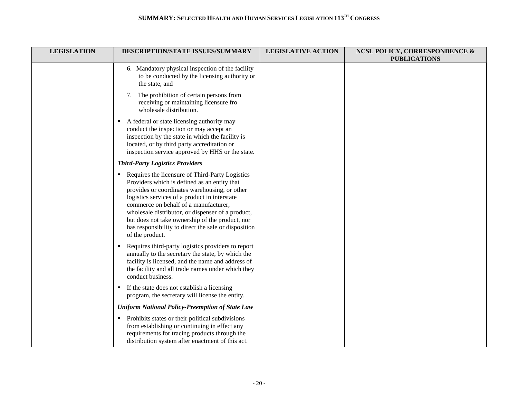| <b>LEGISLATION</b> | DESCRIPTION/STATE ISSUES/SUMMARY                                                                                                                                                                                                                                                                                                                                                                                              | <b>LEGISLATIVE ACTION</b> | <b>NCSL POLICY, CORRESPONDENCE &amp;</b><br><b>PUBLICATIONS</b> |
|--------------------|-------------------------------------------------------------------------------------------------------------------------------------------------------------------------------------------------------------------------------------------------------------------------------------------------------------------------------------------------------------------------------------------------------------------------------|---------------------------|-----------------------------------------------------------------|
|                    | 6. Mandatory physical inspection of the facility<br>to be conducted by the licensing authority or<br>the state, and                                                                                                                                                                                                                                                                                                           |                           |                                                                 |
|                    | 7. The prohibition of certain persons from<br>receiving or maintaining licensure fro<br>wholesale distribution.                                                                                                                                                                                                                                                                                                               |                           |                                                                 |
|                    | • A federal or state licensing authority may<br>conduct the inspection or may accept an<br>inspection by the state in which the facility is<br>located, or by third party accreditation or<br>inspection service approved by HHS or the state.                                                                                                                                                                                |                           |                                                                 |
|                    | <b>Third-Party Logistics Providers</b>                                                                                                                                                                                                                                                                                                                                                                                        |                           |                                                                 |
|                    | Requires the licensure of Third-Party Logistics<br>Providers which is defined as an entity that<br>provides or coordinates warehousing, or other<br>logistics services of a product in interstate<br>commerce on behalf of a manufacturer,<br>wholesale distributor, or dispenser of a product,<br>but does not take ownership of the product, nor<br>has responsibility to direct the sale or disposition<br>of the product. |                           |                                                                 |
|                    | Requires third-party logistics providers to report<br>٠<br>annually to the secretary the state, by which the<br>facility is licensed, and the name and address of<br>the facility and all trade names under which they<br>conduct business.                                                                                                                                                                                   |                           |                                                                 |
|                    | If the state does not establish a licensing<br>٠<br>program, the secretary will license the entity.                                                                                                                                                                                                                                                                                                                           |                           |                                                                 |
|                    | <b>Uniform National Policy-Preemption of State Law</b>                                                                                                                                                                                                                                                                                                                                                                        |                           |                                                                 |
|                    | Prohibits states or their political subdivisions<br>٠<br>from establishing or continuing in effect any<br>requirements for tracing products through the<br>distribution system after enactment of this act.                                                                                                                                                                                                                   |                           |                                                                 |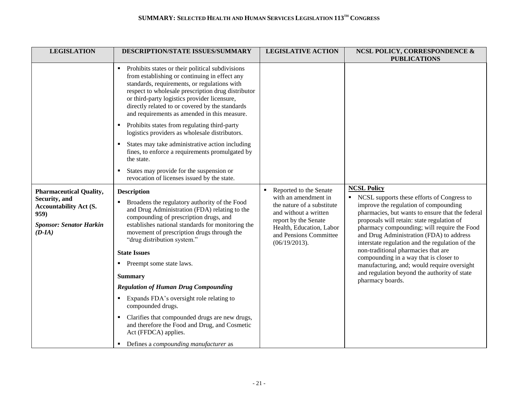| <b>LEGISLATION</b>                                                                                                                     | DESCRIPTION/STATE ISSUES/SUMMARY                                                                                                                                                                                                                                                                                                                                                                                                                                                                                                                                                                                                                                                | <b>LEGISLATIVE ACTION</b>                                                                                                                                                                                  | <b>NCSL POLICY, CORRESPONDENCE &amp;</b><br><b>PUBLICATIONS</b>                                                                                                                                                                                                                                                                                                                                                                                                                                                                                                 |
|----------------------------------------------------------------------------------------------------------------------------------------|---------------------------------------------------------------------------------------------------------------------------------------------------------------------------------------------------------------------------------------------------------------------------------------------------------------------------------------------------------------------------------------------------------------------------------------------------------------------------------------------------------------------------------------------------------------------------------------------------------------------------------------------------------------------------------|------------------------------------------------------------------------------------------------------------------------------------------------------------------------------------------------------------|-----------------------------------------------------------------------------------------------------------------------------------------------------------------------------------------------------------------------------------------------------------------------------------------------------------------------------------------------------------------------------------------------------------------------------------------------------------------------------------------------------------------------------------------------------------------|
|                                                                                                                                        | Prohibits states or their political subdivisions<br>from establishing or continuing in effect any<br>standards, requirements, or regulations with<br>respect to wholesale prescription drug distributor<br>or third-party logistics provider licensure,<br>directly related to or covered by the standards<br>and requirements as amended in this measure.<br>Prohibits states from regulating third-party<br>logistics providers as wholesale distributors.<br>States may take administrative action including<br>fines, to enforce a requirements promulgated by<br>the state.<br>States may provide for the suspension or<br>revocation of licenses issued by the state.     |                                                                                                                                                                                                            |                                                                                                                                                                                                                                                                                                                                                                                                                                                                                                                                                                 |
| <b>Pharmaceutical Quality,</b><br>Security, and<br><b>Accountability Act (S.</b><br>959)<br><b>Sponsor: Senator Harkin</b><br>$(D-IA)$ | <b>Description</b><br>• Broadens the regulatory authority of the Food<br>and Drug Administration (FDA) relating to the<br>compounding of prescription drugs, and<br>establishes national standards for monitoring the<br>movement of prescription drugs through the<br>"drug distribution system."<br><b>State Issues</b><br>• Preempt some state laws.<br><b>Summary</b><br><b>Regulation of Human Drug Compounding</b><br>Expands FDA's oversight role relating to<br>compounded drugs.<br>Clarifies that compounded drugs are new drugs,<br>$\blacksquare$<br>and therefore the Food and Drug, and Cosmetic<br>Act (FFDCA) applies.<br>Defines a compounding manufacturer as | Reported to the Senate<br>٠.<br>with an amendment in<br>the nature of a substitute<br>and without a written<br>report by the Senate<br>Health, Education, Labor<br>and Pensions Committee<br>(06/19/2013). | <b>NCSL Policy</b><br>• NCSL supports these efforts of Congress to<br>improve the regulation of compounding<br>pharmacies, but wants to ensure that the federal<br>proposals will retain: state regulation of<br>pharmacy compounding; will require the Food<br>and Drug Administration (FDA) to address<br>interstate regulation and the regulation of the<br>non-traditional pharmacies that are<br>compounding in a way that is closer to<br>manufacturing, and; would require oversight<br>and regulation beyond the authority of state<br>pharmacy boards. |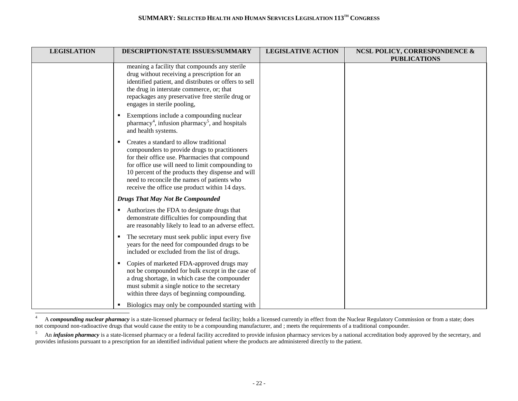| <b>LEGISLATION</b> | <b>DESCRIPTION/STATE ISSUES/SUMMARY</b>                                                                                                                                                                                                                                                                                                                   | <b>LEGISLATIVE ACTION</b> | <b>NCSL POLICY, CORRESPONDENCE &amp;</b> |
|--------------------|-----------------------------------------------------------------------------------------------------------------------------------------------------------------------------------------------------------------------------------------------------------------------------------------------------------------------------------------------------------|---------------------------|------------------------------------------|
|                    | meaning a facility that compounds any sterile<br>drug without receiving a prescription for an<br>identified patient, and distributes or offers to sell<br>the drug in interstate commerce, or; that<br>repackages any preservative free sterile drug or<br>engages in sterile pooling,                                                                    |                           | <b>PUBLICATIONS</b>                      |
|                    | Exemptions include a compounding nuclear<br>$\blacksquare$<br>pharmacy <sup>4</sup> , infusion pharmacy <sup>5</sup> , and hospitals<br>and health systems.                                                                                                                                                                                               |                           |                                          |
|                    | Creates a standard to allow traditional<br>٠<br>compounders to provide drugs to practitioners<br>for their office use. Pharmacies that compound<br>for office use will need to limit compounding to<br>10 percent of the products they dispense and will<br>need to reconcile the names of patients who<br>receive the office use product within 14 days. |                           |                                          |
|                    | <b>Drugs That May Not Be Compounded</b>                                                                                                                                                                                                                                                                                                                   |                           |                                          |
|                    | Authorizes the FDA to designate drugs that<br>demonstrate difficulties for compounding that<br>are reasonably likely to lead to an adverse effect.                                                                                                                                                                                                        |                           |                                          |
|                    | The secretary must seek public input every five<br>л.<br>years for the need for compounded drugs to be<br>included or excluded from the list of drugs.                                                                                                                                                                                                    |                           |                                          |
|                    | Copies of marketed FDA-approved drugs may<br>$\blacksquare$<br>not be compounded for bulk except in the case of<br>a drug shortage, in which case the compounder<br>must submit a single notice to the secretary<br>within three days of beginning compounding.                                                                                           |                           |                                          |
|                    | Biologics may only be compounded starting with<br>٠                                                                                                                                                                                                                                                                                                       |                           |                                          |

 $\overline{4}$ A **compounding nuclear pharmacy** is a state-licensed pharmacy or federal facility; holds a licensed currently in effect from the Nuclear Regulatory Commission or from a state; does not compound non-radioactive drugs that would cause the entity to be a compounding manufacturer, and ; meets the requirements of a traditional compounder.

<sup>&</sup>lt;sup>5</sup> An *infusion pharmacy* is a state-licensed pharmacy or a federal facility accredited to provide infusion pharmacy services by a national accreditation body approved by the secretary, and provides infusions pursuant to a prescription for an identified individual patient where the products are administered directly to the patient.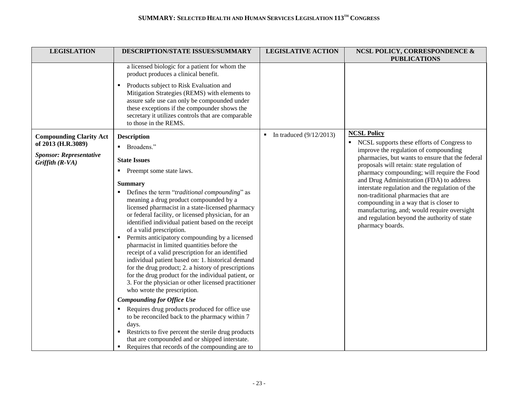| <b>LEGISLATION</b>                                   | DESCRIPTION/STATE ISSUES/SUMMARY                                                                                                                                                                                                                                                                                                                                                                                                                                                                                                                                                                                                                                                                           | <b>LEGISLATIVE ACTION</b> | NCSL POLICY, CORRESPONDENCE &<br><b>PUBLICATIONS</b>                                                                                                                                                                                                |
|------------------------------------------------------|------------------------------------------------------------------------------------------------------------------------------------------------------------------------------------------------------------------------------------------------------------------------------------------------------------------------------------------------------------------------------------------------------------------------------------------------------------------------------------------------------------------------------------------------------------------------------------------------------------------------------------------------------------------------------------------------------------|---------------------------|-----------------------------------------------------------------------------------------------------------------------------------------------------------------------------------------------------------------------------------------------------|
|                                                      | a licensed biologic for a patient for whom the<br>product produces a clinical benefit.                                                                                                                                                                                                                                                                                                                                                                                                                                                                                                                                                                                                                     |                           |                                                                                                                                                                                                                                                     |
|                                                      | Products subject to Risk Evaluation and<br>Mitigation Strategies (REMS) with elements to<br>assure safe use can only be compounded under<br>these exceptions if the compounder shows the<br>secretary it utilizes controls that are comparable<br>to those in the REMS.                                                                                                                                                                                                                                                                                                                                                                                                                                    |                           |                                                                                                                                                                                                                                                     |
| <b>Compounding Clarity Act</b><br>of 2013 (H.R.3089) | <b>Description</b>                                                                                                                                                                                                                                                                                                                                                                                                                                                                                                                                                                                                                                                                                         | In traduced $(9/12/2013)$ | <b>NCSL Policy</b><br>• NCSL supports these efforts of Congress to                                                                                                                                                                                  |
|                                                      | • Broadens."                                                                                                                                                                                                                                                                                                                                                                                                                                                                                                                                                                                                                                                                                               |                           | improve the regulation of compounding                                                                                                                                                                                                               |
| <b>Sponsor: Representative</b><br>Griffith $(R-VA)$  | <b>State Issues</b>                                                                                                                                                                                                                                                                                                                                                                                                                                                                                                                                                                                                                                                                                        |                           | pharmacies, but wants to ensure that the federal<br>proposals will retain: state regulation of                                                                                                                                                      |
|                                                      | Preempt some state laws.<br>п.                                                                                                                                                                                                                                                                                                                                                                                                                                                                                                                                                                                                                                                                             |                           | pharmacy compounding; will require the Food                                                                                                                                                                                                         |
|                                                      | <b>Summary</b>                                                                                                                                                                                                                                                                                                                                                                                                                                                                                                                                                                                                                                                                                             |                           | and Drug Administration (FDA) to address                                                                                                                                                                                                            |
|                                                      | • Defines the term "traditional compounding" as<br>meaning a drug product compounded by a<br>licensed pharmacist in a state-licensed pharmacy<br>or federal facility, or licensed physician, for an<br>identified individual patient based on the receipt<br>of a valid prescription.<br>Permits anticipatory compounding by a licensed<br>п.<br>pharmacist in limited quantities before the<br>receipt of a valid prescription for an identified<br>individual patient based on: 1. historical demand<br>for the drug product; 2. a history of prescriptions<br>for the drug product for the individual patient, or<br>3. For the physician or other licensed practitioner<br>who wrote the prescription. |                           | interstate regulation and the regulation of the<br>non-traditional pharmacies that are<br>compounding in a way that is closer to<br>manufacturing, and; would require oversight<br>and regulation beyond the authority of state<br>pharmacy boards. |
|                                                      | <b>Compounding for Office Use</b><br>Requires drug products produced for office use                                                                                                                                                                                                                                                                                                                                                                                                                                                                                                                                                                                                                        |                           |                                                                                                                                                                                                                                                     |
|                                                      | to be reconciled back to the pharmacy within 7<br>days.<br>Restricts to five percent the sterile drug products<br>that are compounded and or shipped interstate.<br>Requires that records of the compounding are to                                                                                                                                                                                                                                                                                                                                                                                                                                                                                        |                           |                                                                                                                                                                                                                                                     |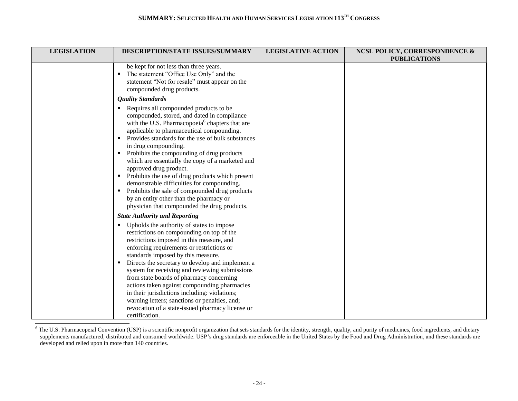| <b>LEGISLATION</b> | DESCRIPTION/STATE ISSUES/SUMMARY                                                                                                                                                                                                                                                                                                                                                                                                                                                                                                                                                                                                                                                      | <b>LEGISLATIVE ACTION</b> | <b>NCSL POLICY, CORRESPONDENCE &amp;</b><br><b>PUBLICATIONS</b> |
|--------------------|---------------------------------------------------------------------------------------------------------------------------------------------------------------------------------------------------------------------------------------------------------------------------------------------------------------------------------------------------------------------------------------------------------------------------------------------------------------------------------------------------------------------------------------------------------------------------------------------------------------------------------------------------------------------------------------|---------------------------|-----------------------------------------------------------------|
|                    | be kept for not less than three years.<br>The statement "Office Use Only" and the<br>statement "Not for resale" must appear on the<br>compounded drug products.                                                                                                                                                                                                                                                                                                                                                                                                                                                                                                                       |                           |                                                                 |
|                    | <b>Quality Standards</b>                                                                                                                                                                                                                                                                                                                                                                                                                                                                                                                                                                                                                                                              |                           |                                                                 |
|                    | Requires all compounded products to be<br>٠<br>compounded, stored, and dated in compliance<br>with the U.S. Pharmacopoeia <sup>6</sup> chapters that are<br>applicable to pharmaceutical compounding.<br>Provides standards for the use of bulk substances<br>$\blacksquare$<br>in drug compounding.<br>Prohibits the compounding of drug products<br>٠.<br>which are essentially the copy of a marketed and<br>approved drug product.<br>Prohibits the use of drug products which present<br>demonstrable difficulties for compounding.<br>Prohibits the sale of compounded drug products<br>by an entity other than the pharmacy or<br>physician that compounded the drug products. |                           |                                                                 |
|                    | <b>State Authority and Reporting</b>                                                                                                                                                                                                                                                                                                                                                                                                                                                                                                                                                                                                                                                  |                           |                                                                 |
|                    | Upholds the authority of states to impose<br>restrictions on compounding on top of the<br>restrictions imposed in this measure, and<br>enforcing requirements or restrictions or<br>standards imposed by this measure.<br>Directs the secretary to develop and implement a<br>system for receiving and reviewing submissions<br>from state boards of pharmacy concerning<br>actions taken against compounding pharmacies<br>in their jurisdictions including: violations;<br>warning letters; sanctions or penalties, and;<br>revocation of a state-issued pharmacy license or<br>certification.                                                                                      |                           |                                                                 |

 $6$  The U.S. Pharmacopeial Convention (USP) is a scientific nonprofit organization that sets standards for the identity, strength, quality, and purity of medicines, food ingredients, and dietary supplements manufactured, distributed and consumed worldwide. USP's drug standards are enforceable in the United States by the Food and Drug Administration, and these standards are developed and relied upon in more than 140 countries.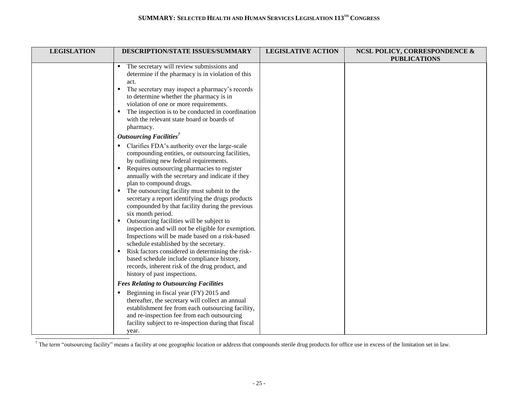| <b>LEGISLATION</b> | DESCRIPTION/STATE ISSUES/SUMMARY                                                                                                                                                                                                                                                                                                                                                                                                                                                                                                                                                                                                                                                                                                                                                                                                                                                              | <b>LEGISLATIVE ACTION</b> | <b>NCSL POLICY, CORRESPONDENCE &amp;</b><br><b>PUBLICATIONS</b> |
|--------------------|-----------------------------------------------------------------------------------------------------------------------------------------------------------------------------------------------------------------------------------------------------------------------------------------------------------------------------------------------------------------------------------------------------------------------------------------------------------------------------------------------------------------------------------------------------------------------------------------------------------------------------------------------------------------------------------------------------------------------------------------------------------------------------------------------------------------------------------------------------------------------------------------------|---------------------------|-----------------------------------------------------------------|
|                    | The secretary will review submissions and<br>٠<br>determine if the pharmacy is in violation of this<br>act.<br>The secretary may inspect a pharmacy's records<br>٠<br>to determine whether the pharmacy is in<br>violation of one or more requirements.<br>The inspection is to be conducted in coordination<br>٠<br>with the relevant state board or boards of<br>pharmacy.                                                                                                                                                                                                                                                                                                                                                                                                                                                                                                                  |                           |                                                                 |
|                    | <b>Outsourcing Facilities</b><br>Clarifies FDA's authority over the large-scale<br>compounding entities, or outsourcing facilities,<br>by outlining new federal requirements.<br>Requires outsourcing pharmacies to register<br>٠<br>annually with the secretary and indicate if they<br>plan to compound drugs.<br>• The outsourcing facility must submit to the<br>secretary a report identifying the drugs products<br>compounded by that facility during the previous<br>six month period.<br>Outsourcing facilities will be subject to<br>٠.<br>inspection and will not be eligible for exemption.<br>Inspections will be made based on a risk-based<br>schedule established by the secretary.<br>Risk factors considered in determining the risk-<br>٠<br>based schedule include compliance history,<br>records, inherent risk of the drug product, and<br>history of past inspections. |                           |                                                                 |
|                    | <b>Fees Relating to Outsourcing Facilities</b><br>Beginning in fiscal year (FY) 2015 and<br>thereafter, the secretary will collect an annual<br>establishment fee from each outsourcing facility,<br>and re-inspection fee from each outsourcing<br>facility subject to re-inspection during that fiscal<br>year.                                                                                                                                                                                                                                                                                                                                                                                                                                                                                                                                                                             |                           |                                                                 |

The term "outsourcing facility" means a facility at one geographic location or address that compounds sterile drug products for office use in excess of the limitation set in law.

 $\overline{a}$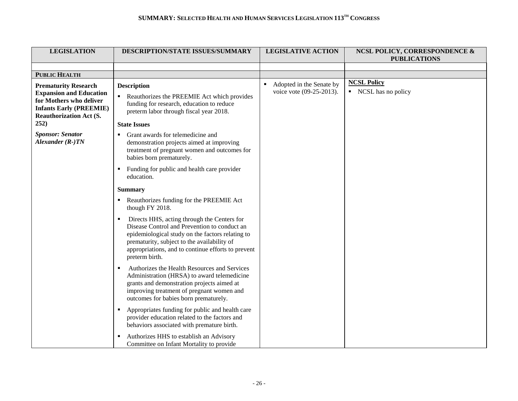| <b>LEGISLATION</b>                                                                                                                                                   | DESCRIPTION/STATE ISSUES/SUMMARY                                                                                                                                                                                                                                            | <b>LEGISLATIVE ACTION</b>                                 | <b>NCSL POLICY, CORRESPONDENCE &amp;</b><br><b>PUBLICATIONS</b> |
|----------------------------------------------------------------------------------------------------------------------------------------------------------------------|-----------------------------------------------------------------------------------------------------------------------------------------------------------------------------------------------------------------------------------------------------------------------------|-----------------------------------------------------------|-----------------------------------------------------------------|
|                                                                                                                                                                      |                                                                                                                                                                                                                                                                             |                                                           |                                                                 |
| <b>PUBLIC HEALTH</b>                                                                                                                                                 |                                                                                                                                                                                                                                                                             |                                                           |                                                                 |
| <b>Prematurity Research</b><br><b>Expansion and Education</b><br>for Mothers who deliver<br><b>Infants Early (PREEMIE)</b><br><b>Reauthorization Act (S.</b><br>252) | <b>Description</b><br>• Reauthorizes the PREEMIE Act which provides<br>funding for research, education to reduce<br>preterm labor through fiscal year 2018.<br><b>State Issues</b>                                                                                          | Adopted in the Senate by<br>٠<br>voice vote (09-25-2013). | <b>NCSL Policy</b><br>• NCSL has no policy                      |
| <b>Sponsor: Senator</b><br>Alexander $(R-)TN$                                                                                                                        | Grant awards for telemedicine and<br>$\blacksquare$<br>demonstration projects aimed at improving<br>treatment of pregnant women and outcomes for<br>babies born prematurely.                                                                                                |                                                           |                                                                 |
|                                                                                                                                                                      | • Funding for public and health care provider<br>education.                                                                                                                                                                                                                 |                                                           |                                                                 |
|                                                                                                                                                                      | <b>Summary</b>                                                                                                                                                                                                                                                              |                                                           |                                                                 |
|                                                                                                                                                                      | Reauthorizes funding for the PREEMIE Act<br>though FY 2018.                                                                                                                                                                                                                 |                                                           |                                                                 |
|                                                                                                                                                                      | Directs HHS, acting through the Centers for<br>٠<br>Disease Control and Prevention to conduct an<br>epidemiological study on the factors relating to<br>prematurity, subject to the availability of<br>appropriations, and to continue efforts to prevent<br>preterm birth. |                                                           |                                                                 |
|                                                                                                                                                                      | Authorizes the Health Resources and Services<br>$\blacksquare$<br>Administration (HRSA) to award telemedicine<br>grants and demonstration projects aimed at<br>improving treatment of pregnant women and<br>outcomes for babies born prematurely.                           |                                                           |                                                                 |
|                                                                                                                                                                      | Appropriates funding for public and health care<br>$\blacksquare$<br>provider education related to the factors and<br>behaviors associated with premature birth.                                                                                                            |                                                           |                                                                 |
|                                                                                                                                                                      | Authorizes HHS to establish an Advisory<br>Committee on Infant Mortality to provide                                                                                                                                                                                         |                                                           |                                                                 |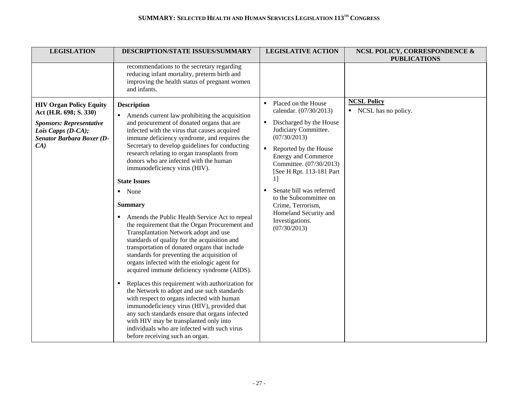| <b>LEGISLATION</b>                                                                                                                                             | DESCRIPTION/STATE ISSUES/SUMMARY                                                                                                                                                                                                                                                                                                                                                                                                                                                                                                                                                                                                                                                                                                                                                                                                                                                                                                                                                                                                                                                                                                                                                                                                                 | <b>LEGISLATIVE ACTION</b>                                                                                                                                                                                                                                                                                                                                                                                            | <b>NCSL POLICY, CORRESPONDENCE &amp;</b><br><b>PUBLICATIONS</b> |
|----------------------------------------------------------------------------------------------------------------------------------------------------------------|--------------------------------------------------------------------------------------------------------------------------------------------------------------------------------------------------------------------------------------------------------------------------------------------------------------------------------------------------------------------------------------------------------------------------------------------------------------------------------------------------------------------------------------------------------------------------------------------------------------------------------------------------------------------------------------------------------------------------------------------------------------------------------------------------------------------------------------------------------------------------------------------------------------------------------------------------------------------------------------------------------------------------------------------------------------------------------------------------------------------------------------------------------------------------------------------------------------------------------------------------|----------------------------------------------------------------------------------------------------------------------------------------------------------------------------------------------------------------------------------------------------------------------------------------------------------------------------------------------------------------------------------------------------------------------|-----------------------------------------------------------------|
|                                                                                                                                                                | recommendations to the secretary regarding<br>reducing infant mortality, preterm birth and<br>improving the health status of pregnant women<br>and infants.                                                                                                                                                                                                                                                                                                                                                                                                                                                                                                                                                                                                                                                                                                                                                                                                                                                                                                                                                                                                                                                                                      |                                                                                                                                                                                                                                                                                                                                                                                                                      |                                                                 |
| <b>HIV Organ Policy Equity</b><br>Act (H.R. 698; S. 330)<br><b>Sponsors: Representative</b><br>Lois Capps $(D-CA);$<br><b>Senator Barbara Boxer (D-</b><br>CA) | <b>Description</b><br>• Amends current law prohibiting the acquisition<br>and procurement of donated organs that are<br>infected with the virus that causes acquired<br>immune deficiency syndrome, and requires the<br>Secretary to develop guidelines for conducting<br>research relating to organ transplants from<br>donors who are infected with the human<br>immunodeficiency virus (HIV).<br><b>State Issues</b><br>$\blacksquare$ None<br><b>Summary</b><br>Amends the Public Health Service Act to repeal<br>٠<br>the requirement that the Organ Procurement and<br>Transplantation Network adopt and use<br>standards of quality for the acquisition and<br>transportation of donated organs that include<br>standards for preventing the acquisition of<br>organs infected with the etiologic agent for<br>acquired immune deficiency syndrome (AIDS).<br>Replaces this requirement with authorization for<br>the Network to adopt and use such standards<br>with respect to organs infected with human<br>immunodeficiency virus (HIV), provided that<br>any such standards ensure that organs infected<br>with HIV may be transplanted only into<br>individuals who are infected with such virus<br>before receiving such an organ. | Placed on the House<br>calendar. (07/30/2013)<br>Discharged by the House<br>٠<br>Judiciary Committee.<br>(07/30/2013)<br>Reported by the House<br>$\blacksquare$<br><b>Energy and Commerce</b><br>Committee. (07/30/2013)<br>[See H Rpt. 113-181 Part<br>11<br>Senate bill was referred<br>$\blacksquare$<br>to the Subcommittee on<br>Crime, Terrorism,<br>Homeland Security and<br>Investigations.<br>(07/30/2013) | <b>NCSL Policy</b><br>• NCSL has no policy.                     |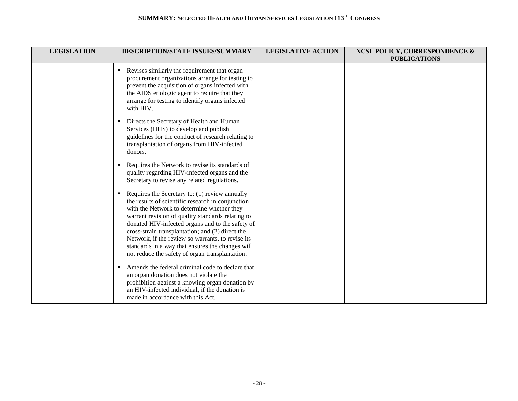| <b>LEGISLATION</b> | <b>DESCRIPTION/STATE ISSUES/SUMMARY</b>                                                                                                                                                                                                                                                                                                                                                                                                                                         | <b>LEGISLATIVE ACTION</b> | <b>NCSL POLICY, CORRESPONDENCE &amp;</b> |
|--------------------|---------------------------------------------------------------------------------------------------------------------------------------------------------------------------------------------------------------------------------------------------------------------------------------------------------------------------------------------------------------------------------------------------------------------------------------------------------------------------------|---------------------------|------------------------------------------|
|                    | Revises similarly the requirement that organ<br>procurement organizations arrange for testing to<br>prevent the acquisition of organs infected with<br>the AIDS etiologic agent to require that they<br>arrange for testing to identify organs infected<br>with HIV.<br>Directs the Secretary of Health and Human                                                                                                                                                               |                           | <b>PUBLICATIONS</b>                      |
|                    | Services (HHS) to develop and publish<br>guidelines for the conduct of research relating to<br>transplantation of organs from HIV-infected<br>donors.<br>Requires the Network to revise its standards of<br>quality regarding HIV-infected organs and the<br>Secretary to revise any related regulations.                                                                                                                                                                       |                           |                                          |
|                    | Requires the Secretary to: (1) review annually<br>٠<br>the results of scientific research in conjunction<br>with the Network to determine whether they<br>warrant revision of quality standards relating to<br>donated HIV-infected organs and to the safety of<br>cross-strain transplantation; and (2) direct the<br>Network, if the review so warrants, to revise its<br>standards in a way that ensures the changes will<br>not reduce the safety of organ transplantation. |                           |                                          |
|                    | Amends the federal criminal code to declare that<br>٠<br>an organ donation does not violate the<br>prohibition against a knowing organ donation by<br>an HIV-infected individual, if the donation is<br>made in accordance with this Act.                                                                                                                                                                                                                                       |                           |                                          |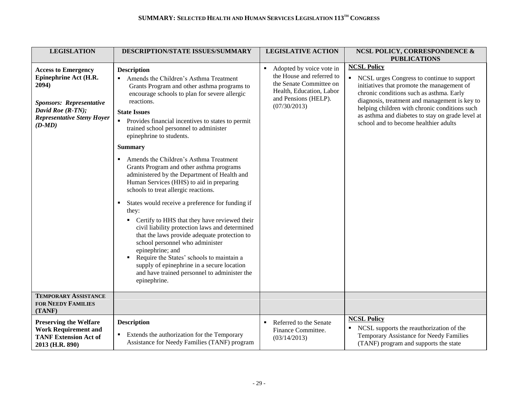| <b>LEGISLATION</b>                                                                                                                                             | <b>DESCRIPTION/STATE ISSUES/SUMMARY</b>                                                                                                                                                                                                                                                                                                                                                                                                                                                                                                                                                                                                                                                                                                                                                                                                                                                                                                                                                                                       | <b>LEGISLATIVE ACTION</b>                                                                                                                                 | <b>NCSL POLICY, CORRESPONDENCE &amp;</b>                                                                                                                                                                                                                                                                                                                                           |
|----------------------------------------------------------------------------------------------------------------------------------------------------------------|-------------------------------------------------------------------------------------------------------------------------------------------------------------------------------------------------------------------------------------------------------------------------------------------------------------------------------------------------------------------------------------------------------------------------------------------------------------------------------------------------------------------------------------------------------------------------------------------------------------------------------------------------------------------------------------------------------------------------------------------------------------------------------------------------------------------------------------------------------------------------------------------------------------------------------------------------------------------------------------------------------------------------------|-----------------------------------------------------------------------------------------------------------------------------------------------------------|------------------------------------------------------------------------------------------------------------------------------------------------------------------------------------------------------------------------------------------------------------------------------------------------------------------------------------------------------------------------------------|
| <b>Access to Emergency</b><br>Epinephrine Act (H.R.<br>2094)<br>Sponsors: Representative<br>David Roe (R-TN);<br><b>Representative Steny Hoyer</b><br>$(D-MD)$ | <b>Description</b><br>• Amends the Children's Asthma Treatment<br>Grants Program and other asthma programs to<br>encourage schools to plan for severe allergic<br>reactions.<br><b>State Issues</b><br>Provides financial incentives to states to permit<br>$\blacksquare$<br>trained school personnel to administer<br>epinephrine to students.<br><b>Summary</b><br>Amends the Children's Asthma Treatment<br>Grants Program and other asthma programs<br>administered by the Department of Health and<br>Human Services (HHS) to aid in preparing<br>schools to treat allergic reactions.<br>States would receive a preference for funding if<br>they:<br>Certify to HHS that they have reviewed their<br>civil liability protection laws and determined<br>that the laws provide adequate protection to<br>school personnel who administer<br>epinephrine; and<br>Require the States' schools to maintain a<br>supply of epinephrine in a secure location<br>and have trained personnel to administer the<br>epinephrine. | Adopted by voice vote in<br>٠<br>the House and referred to<br>the Senate Committee on<br>Health, Education, Labor<br>and Pensions (HELP).<br>(07/30/2013) | <b>PUBLICATIONS</b><br><b>NCSL Policy</b><br>• NCSL urges Congress to continue to support<br>initiatives that promote the management of<br>chronic conditions such as asthma. Early<br>diagnosis, treatment and management is key to<br>helping children with chronic conditions such<br>as asthma and diabetes to stay on grade level at<br>school and to become healthier adults |
| <b>TEMPORARY ASSISTANCE</b><br><b>FOR NEEDY FAMILIES</b><br>(TANF)                                                                                             |                                                                                                                                                                                                                                                                                                                                                                                                                                                                                                                                                                                                                                                                                                                                                                                                                                                                                                                                                                                                                               |                                                                                                                                                           |                                                                                                                                                                                                                                                                                                                                                                                    |
| <b>Preserving the Welfare</b><br><b>Work Requirement and</b><br><b>TANF Extension Act of</b><br>2013 (H.R. 890)                                                | <b>Description</b><br>Extends the authorization for the Temporary<br>Assistance for Needy Families (TANF) program                                                                                                                                                                                                                                                                                                                                                                                                                                                                                                                                                                                                                                                                                                                                                                                                                                                                                                             | Referred to the Senate<br>٠<br>Finance Committee.<br>(03/14/2013)                                                                                         | <b>NCSL Policy</b><br>NCSL supports the reauthorization of the<br>п.<br>Temporary Assistance for Needy Families<br>(TANF) program and supports the state                                                                                                                                                                                                                           |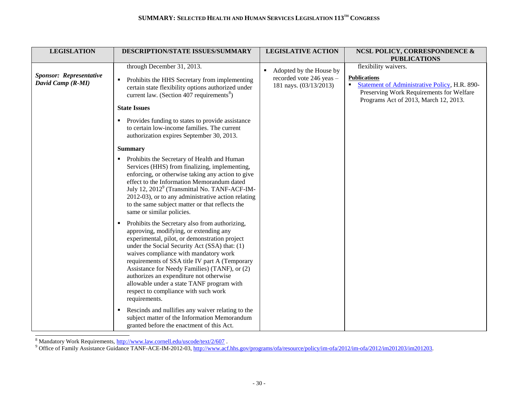| <b>LEGISLATION</b>                                  | DESCRIPTION/STATE ISSUES/SUMMARY                                                                                                                                                                                                                                                                                                                                                                                                                                                              | <b>LEGISLATIVE ACTION</b>                                                     | <b>NCSL POLICY, CORRESPONDENCE &amp;</b><br><b>PUBLICATIONS</b>                                                                                                                                |
|-----------------------------------------------------|-----------------------------------------------------------------------------------------------------------------------------------------------------------------------------------------------------------------------------------------------------------------------------------------------------------------------------------------------------------------------------------------------------------------------------------------------------------------------------------------------|-------------------------------------------------------------------------------|------------------------------------------------------------------------------------------------------------------------------------------------------------------------------------------------|
| <b>Sponsor: Representative</b><br>David Camp (R-MI) | through December 31, 2013.<br>Prohibits the HHS Secretary from implementing<br>$\blacksquare$<br>certain state flexibility options authorized under<br>current law. (Section 407 requirements <sup>8</sup> )<br><b>State Issues</b><br>Provides funding to states to provide assistance                                                                                                                                                                                                       | Adopted by the House by<br>recorded vote 246 yeas -<br>181 nays. (03/13/2013) | flexibility waivers.<br><b>Publications</b><br><b>Statement of Administrative Policy, H.R. 890-</b><br>٠.<br>Preserving Work Requirements for Welfare<br>Programs Act of 2013, March 12, 2013. |
|                                                     | to certain low-income families. The current<br>authorization expires September 30, 2013.                                                                                                                                                                                                                                                                                                                                                                                                      |                                                                               |                                                                                                                                                                                                |
|                                                     | <b>Summary</b>                                                                                                                                                                                                                                                                                                                                                                                                                                                                                |                                                                               |                                                                                                                                                                                                |
|                                                     | Prohibits the Secretary of Health and Human<br>$\blacksquare$<br>Services (HHS) from finalizing, implementing,<br>enforcing, or otherwise taking any action to give<br>effect to the Information Memorandum dated<br>July 12, 2012 <sup>9</sup> (Transmittal No. TANF-ACF-IM-<br>2012-03), or to any administrative action relating<br>to the same subject matter or that reflects the<br>same or similar policies.                                                                           |                                                                               |                                                                                                                                                                                                |
|                                                     | Prohibits the Secretary also from authorizing,<br>л.<br>approving, modifying, or extending any<br>experimental, pilot, or demonstration project<br>under the Social Security Act (SSA) that: (1)<br>waives compliance with mandatory work<br>requirements of SSA title IV part A (Temporary<br>Assistance for Needy Families) (TANF), or (2)<br>authorizes an expenditure not otherwise<br>allowable under a state TANF program with<br>respect to compliance with such work<br>requirements. |                                                                               |                                                                                                                                                                                                |
|                                                     | Rescinds and nullifies any waiver relating to the<br>subject matter of the Information Memorandum<br>granted before the enactment of this Act.                                                                                                                                                                                                                                                                                                                                                |                                                                               |                                                                                                                                                                                                |

<sup>8</sup> Mandatory Work Requirements,<http://www.law.cornell.edu/uscode/text/2/607>.

l

<sup>9</sup> Office of Family Assistance Guidance TANF-ACE-IM-2012-03[, http://www.acf.hhs.gov/programs/ofa/resource/policy/im-ofa/2012/im-ofa/2012/im201203/im201203.](http://www.acf.hhs.gov/programs/ofa/resource/policy/im-ofa/2012/im-ofa/2012/im201203/im201203)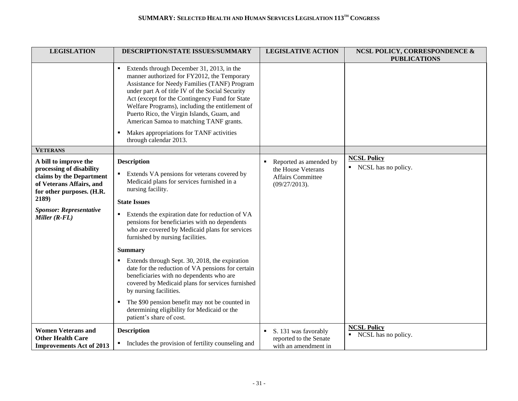| <b>LEGISLATION</b>                                                                                                                                                                                 | DESCRIPTION/STATE ISSUES/SUMMARY                                                                                                                                                                                                                                                                                                                                                                                                                                                                                                                                                                                                                                                                                                           | <b>LEGISLATIVE ACTION</b>                                                                      | <b>NCSL POLICY, CORRESPONDENCE &amp;</b><br><b>PUBLICATIONS</b> |
|----------------------------------------------------------------------------------------------------------------------------------------------------------------------------------------------------|--------------------------------------------------------------------------------------------------------------------------------------------------------------------------------------------------------------------------------------------------------------------------------------------------------------------------------------------------------------------------------------------------------------------------------------------------------------------------------------------------------------------------------------------------------------------------------------------------------------------------------------------------------------------------------------------------------------------------------------------|------------------------------------------------------------------------------------------------|-----------------------------------------------------------------|
|                                                                                                                                                                                                    | Extends through December 31, 2013, in the<br>manner authorized for FY2012, the Temporary<br>Assistance for Needy Families (TANF) Program<br>under part A of title IV of the Social Security<br>Act (except for the Contingency Fund for State<br>Welfare Programs), including the entitlement of<br>Puerto Rico, the Virgin Islands, Guam, and<br>American Samoa to matching TANF grants.<br>Makes appropriations for TANF activities<br>through calendar 2013.                                                                                                                                                                                                                                                                            |                                                                                                |                                                                 |
| <b>VETERANS</b>                                                                                                                                                                                    |                                                                                                                                                                                                                                                                                                                                                                                                                                                                                                                                                                                                                                                                                                                                            |                                                                                                |                                                                 |
| A bill to improve the<br>processing of disability<br>claims by the Department<br>of Veterans Affairs, and<br>for other purposes. (H.R.<br>2189)<br><b>Sponsor: Representative</b><br>Miller (R-FL) | <b>Description</b><br>Extends VA pensions for veterans covered by<br>Medicaid plans for services furnished in a<br>nursing facility.<br><b>State Issues</b><br>Extends the expiration date for reduction of VA<br>٠<br>pensions for beneficiaries with no dependents<br>who are covered by Medicaid plans for services<br>furnished by nursing facilities.<br><b>Summary</b><br>Extends through Sept. 30, 2018, the expiration<br>date for the reduction of VA pensions for certain<br>beneficiaries with no dependents who are<br>covered by Medicaid plans for services furnished<br>by nursing facilities.<br>The \$90 pension benefit may not be counted in<br>determining eligibility for Medicaid or the<br>patient's share of cost. | Reported as amended by<br>٠<br>the House Veterans<br><b>Affairs Committee</b><br>(09/27/2013). | <b>NCSL Policy</b><br>• NCSL has no policy.                     |
| <b>Women Veterans and</b><br><b>Other Health Care</b><br><b>Improvements Act of 2013</b>                                                                                                           | <b>Description</b><br>• Includes the provision of fertility counseling and                                                                                                                                                                                                                                                                                                                                                                                                                                                                                                                                                                                                                                                                 | S. 131 was favorably<br>reported to the Senate<br>with an amendment in                         | <b>NCSL Policy</b><br>• NCSL has no policy.                     |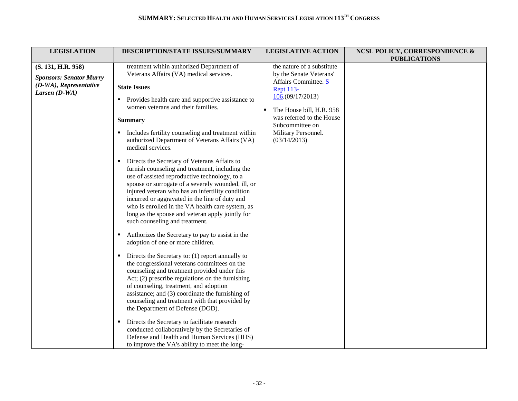| <b>LEGISLATION</b>                                                                                | DESCRIPTION/STATE ISSUES/SUMMARY                                                                                                                                                                                                                                                                                                                                                                                                                                                                                                                                                                                                                                                                                                                                                                                                                                                                                                                                                                                                                                                                                                                                                                                                                                                                                                                                                                                                                                                                                                 | <b>LEGISLATIVE ACTION</b>                                                                                                                                                                                                                    | <b>NCSL POLICY, CORRESPONDENCE &amp;</b><br><b>PUBLICATIONS</b> |
|---------------------------------------------------------------------------------------------------|----------------------------------------------------------------------------------------------------------------------------------------------------------------------------------------------------------------------------------------------------------------------------------------------------------------------------------------------------------------------------------------------------------------------------------------------------------------------------------------------------------------------------------------------------------------------------------------------------------------------------------------------------------------------------------------------------------------------------------------------------------------------------------------------------------------------------------------------------------------------------------------------------------------------------------------------------------------------------------------------------------------------------------------------------------------------------------------------------------------------------------------------------------------------------------------------------------------------------------------------------------------------------------------------------------------------------------------------------------------------------------------------------------------------------------------------------------------------------------------------------------------------------------|----------------------------------------------------------------------------------------------------------------------------------------------------------------------------------------------------------------------------------------------|-----------------------------------------------------------------|
| (S. 131, H.R. 958)<br><b>Sponsors: Senator Murry</b><br>(D-WA), Representative<br>Larsen $(D-WA)$ | treatment within authorized Department of<br>Veterans Affairs (VA) medical services.<br><b>State Issues</b><br>Provides health care and supportive assistance to<br>women veterans and their families.<br><b>Summary</b><br>Includes fertility counseling and treatment within<br>authorized Department of Veterans Affairs (VA)<br>medical services.<br>Directs the Secretary of Veterans Affairs to<br>п<br>furnish counseling and treatment, including the<br>use of assisted reproductive technology, to a<br>spouse or surrogate of a severely wounded, ill, or<br>injured veteran who has an infertility condition<br>incurred or aggravated in the line of duty and<br>who is enrolled in the VA health care system, as<br>long as the spouse and veteran apply jointly for<br>such counseling and treatment.<br>Authorizes the Secretary to pay to assist in the<br>adoption of one or more children.<br>Directs the Secretary to: (1) report annually to<br>$\blacksquare$<br>the congressional veterans committees on the<br>counseling and treatment provided under this<br>Act; $(2)$ prescribe regulations on the furnishing<br>of counseling, treatment, and adoption<br>assistance; and (3) coordinate the furnishing of<br>counseling and treatment with that provided by<br>the Department of Defense (DOD).<br>Directs the Secretary to facilitate research<br>conducted collaboratively by the Secretaries of<br>Defense and Health and Human Services (HHS)<br>to improve the VA's ability to meet the long- | the nature of a substitute<br>by the Senate Veterans'<br>Affairs Committee. S<br><b>Rept 113-</b><br>106(09/17/2013)<br>The House bill, H.R. 958<br>٠<br>was referred to the House<br>Subcommittee on<br>Military Personnel.<br>(03/14/2013) |                                                                 |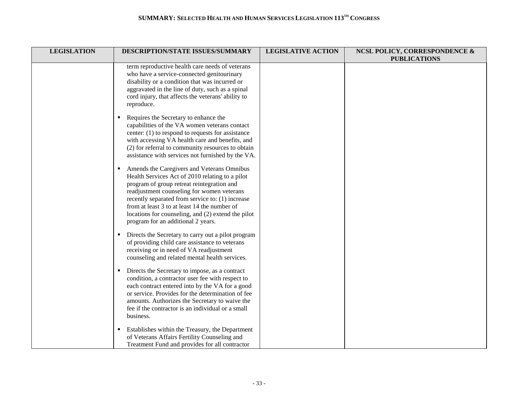| <b>LEGISLATION</b> | DESCRIPTION/STATE ISSUES/SUMMARY                                                                                                                                                                                                                                                                                                                                                          | <b>LEGISLATIVE ACTION</b> | <b>NCSL POLICY, CORRESPONDENCE &amp;</b><br><b>PUBLICATIONS</b> |
|--------------------|-------------------------------------------------------------------------------------------------------------------------------------------------------------------------------------------------------------------------------------------------------------------------------------------------------------------------------------------------------------------------------------------|---------------------------|-----------------------------------------------------------------|
|                    | term reproductive health care needs of veterans<br>who have a service-connected genitourinary<br>disability or a condition that was incurred or<br>aggravated in the line of duty, such as a spinal<br>cord injury, that affects the veterans' ability to<br>reproduce.                                                                                                                   |                           |                                                                 |
|                    | Requires the Secretary to enhance the<br>$\blacksquare$<br>capabilities of the VA women veterans contact<br>center: $(1)$ to respond to requests for assistance<br>with accessing VA health care and benefits, and<br>(2) for referral to community resources to obtain<br>assistance with services not furnished by the VA.                                                              |                           |                                                                 |
|                    | Amends the Caregivers and Veterans Omnibus<br>Health Services Act of 2010 relating to a pilot<br>program of group retreat reintegration and<br>readjustment counseling for women veterans<br>recently separated from service to: (1) increase<br>from at least 3 to at least 14 the number of<br>locations for counseling, and (2) extend the pilot<br>program for an additional 2 years. |                           |                                                                 |
|                    | • Directs the Secretary to carry out a pilot program<br>of providing child care assistance to veterans<br>receiving or in need of VA readjustment<br>counseling and related mental health services.                                                                                                                                                                                       |                           |                                                                 |
|                    | Directs the Secretary to impose, as a contract<br>$\blacksquare$<br>condition, a contractor user fee with respect to<br>each contract entered into by the VA for a good<br>or service. Provides for the determination of fee<br>amounts. Authorizes the Secretary to waive the<br>fee if the contractor is an individual or a small<br>business.                                          |                           |                                                                 |
|                    | Establishes within the Treasury, the Department<br>٠<br>of Veterans Affairs Fertility Counseling and<br>Treatment Fund and provides for all contractor                                                                                                                                                                                                                                    |                           |                                                                 |